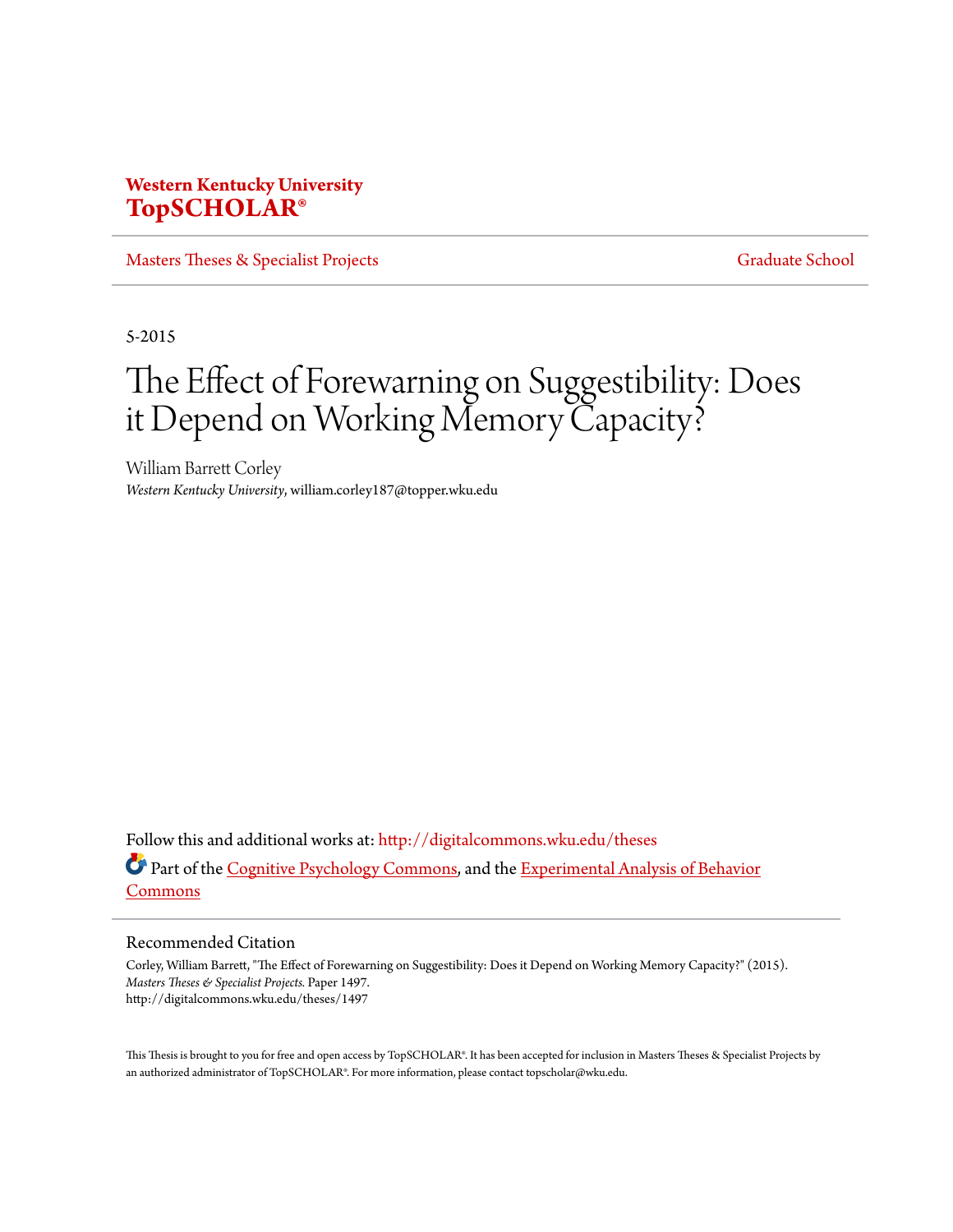## **Western Kentucky University [TopSCHOLAR®](http://digitalcommons.wku.edu?utm_source=digitalcommons.wku.edu%2Ftheses%2F1497&utm_medium=PDF&utm_campaign=PDFCoverPages)**

[Masters Theses & Specialist Projects](http://digitalcommons.wku.edu/theses?utm_source=digitalcommons.wku.edu%2Ftheses%2F1497&utm_medium=PDF&utm_campaign=PDFCoverPages) [Graduate School](http://digitalcommons.wku.edu/Graduate?utm_source=digitalcommons.wku.edu%2Ftheses%2F1497&utm_medium=PDF&utm_campaign=PDFCoverPages)

5-2015

# The Effect of Forewarning on Suggestibility: Does it Depend on Working Memory Capacity?

William Barrett Corley *Western Kentucky University*, william.corley187@topper.wku.edu

Follow this and additional works at: [http://digitalcommons.wku.edu/theses](http://digitalcommons.wku.edu/theses?utm_source=digitalcommons.wku.edu%2Ftheses%2F1497&utm_medium=PDF&utm_campaign=PDFCoverPages) Part of the [Cognitive Psychology Commons,](http://network.bepress.com/hgg/discipline/408?utm_source=digitalcommons.wku.edu%2Ftheses%2F1497&utm_medium=PDF&utm_campaign=PDFCoverPages) and the [Experimental Analysis of Behavior](http://network.bepress.com/hgg/discipline/1236?utm_source=digitalcommons.wku.edu%2Ftheses%2F1497&utm_medium=PDF&utm_campaign=PDFCoverPages) [Commons](http://network.bepress.com/hgg/discipline/1236?utm_source=digitalcommons.wku.edu%2Ftheses%2F1497&utm_medium=PDF&utm_campaign=PDFCoverPages)

#### Recommended Citation

Corley, William Barrett, "The Effect of Forewarning on Suggestibility: Does it Depend on Working Memory Capacity?" (2015). *Masters Theses & Specialist Projects.* Paper 1497. http://digitalcommons.wku.edu/theses/1497

This Thesis is brought to you for free and open access by TopSCHOLAR®. It has been accepted for inclusion in Masters Theses & Specialist Projects by an authorized administrator of TopSCHOLAR®. For more information, please contact topscholar@wku.edu.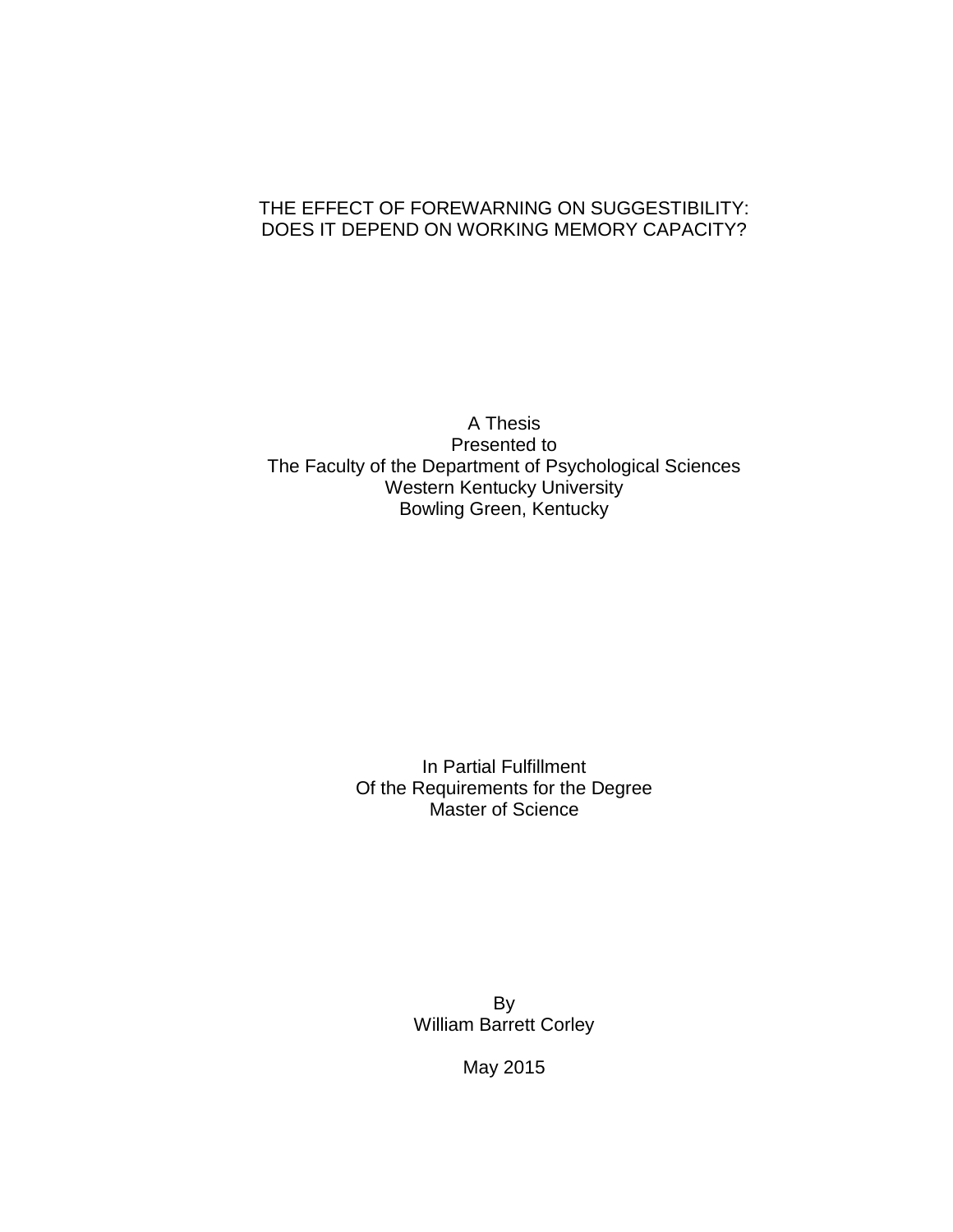## THE EFFECT OF FOREWARNING ON SUGGESTIBILITY: DOES IT DEPEND ON WORKING MEMORY CAPACITY?

A Thesis Presented to The Faculty of the Department of Psychological Sciences Western Kentucky University Bowling Green, Kentucky

> In Partial Fulfillment Of the Requirements for the Degree Master of Science

> > By William Barrett Corley

> > > May 2015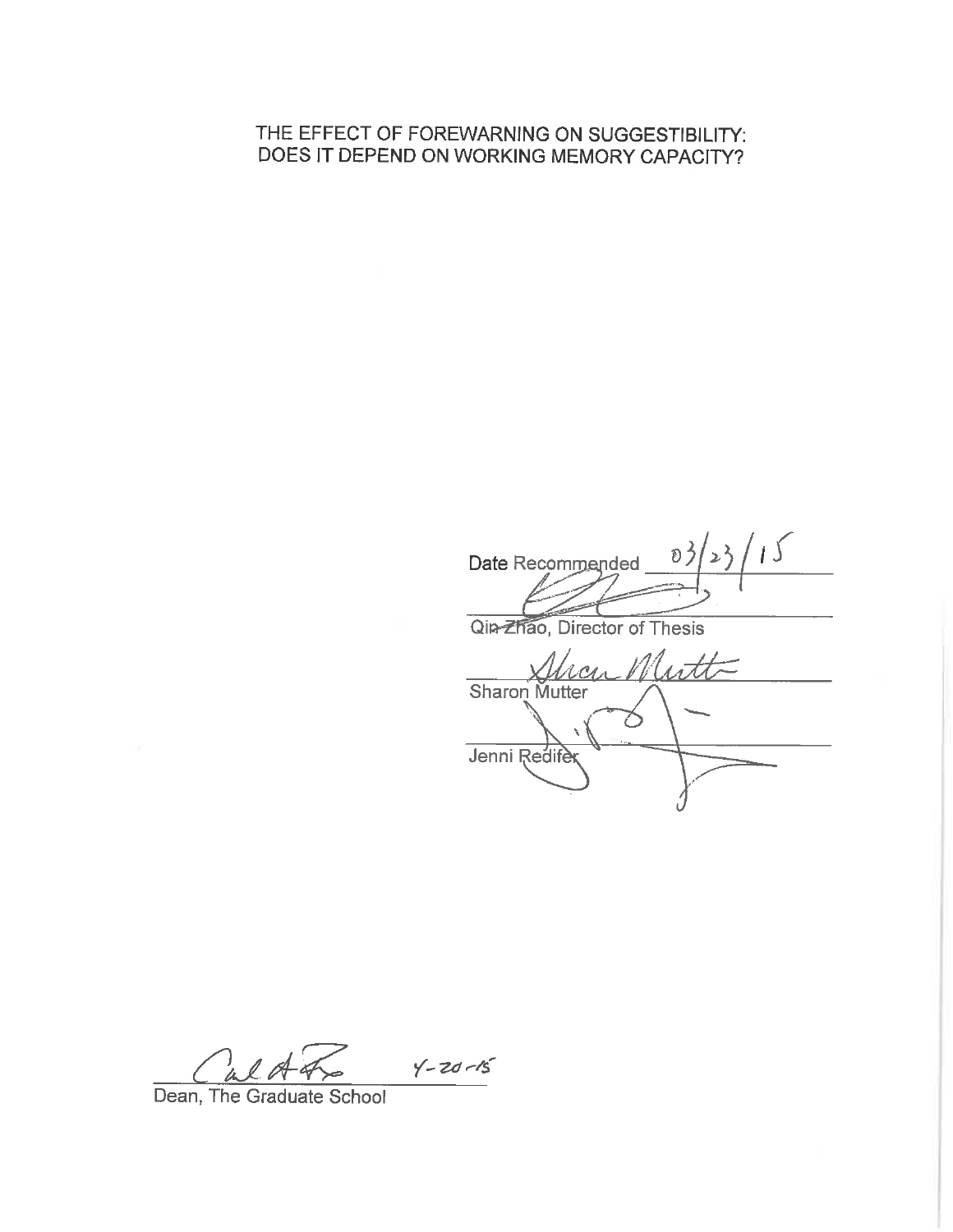## THE EFFECT OF FOREWARNING ON SUGGESTIBILITY: DOES IT DEPEND ON WORKING MEMORY CAPACITY?

 $15$ Date Recommended Ð Qin-Zhao, Director of Thesis scen Mutt Sharon Mutter 乙 Jenni Redife

 $Y - 20 - 15$ 4 l A

Dean, The Graduate School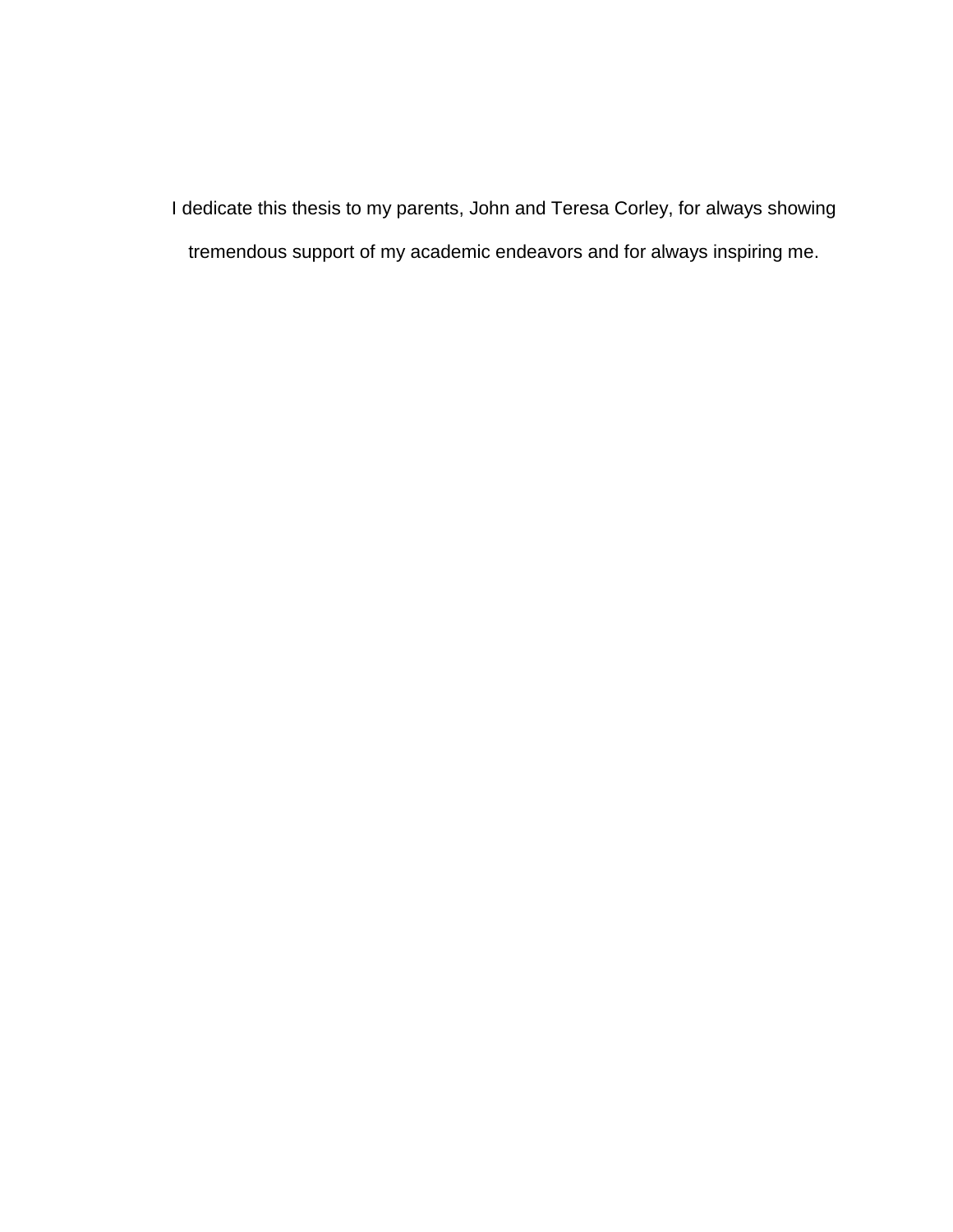I dedicate this thesis to my parents, John and Teresa Corley, for always showing tremendous support of my academic endeavors and for always inspiring me.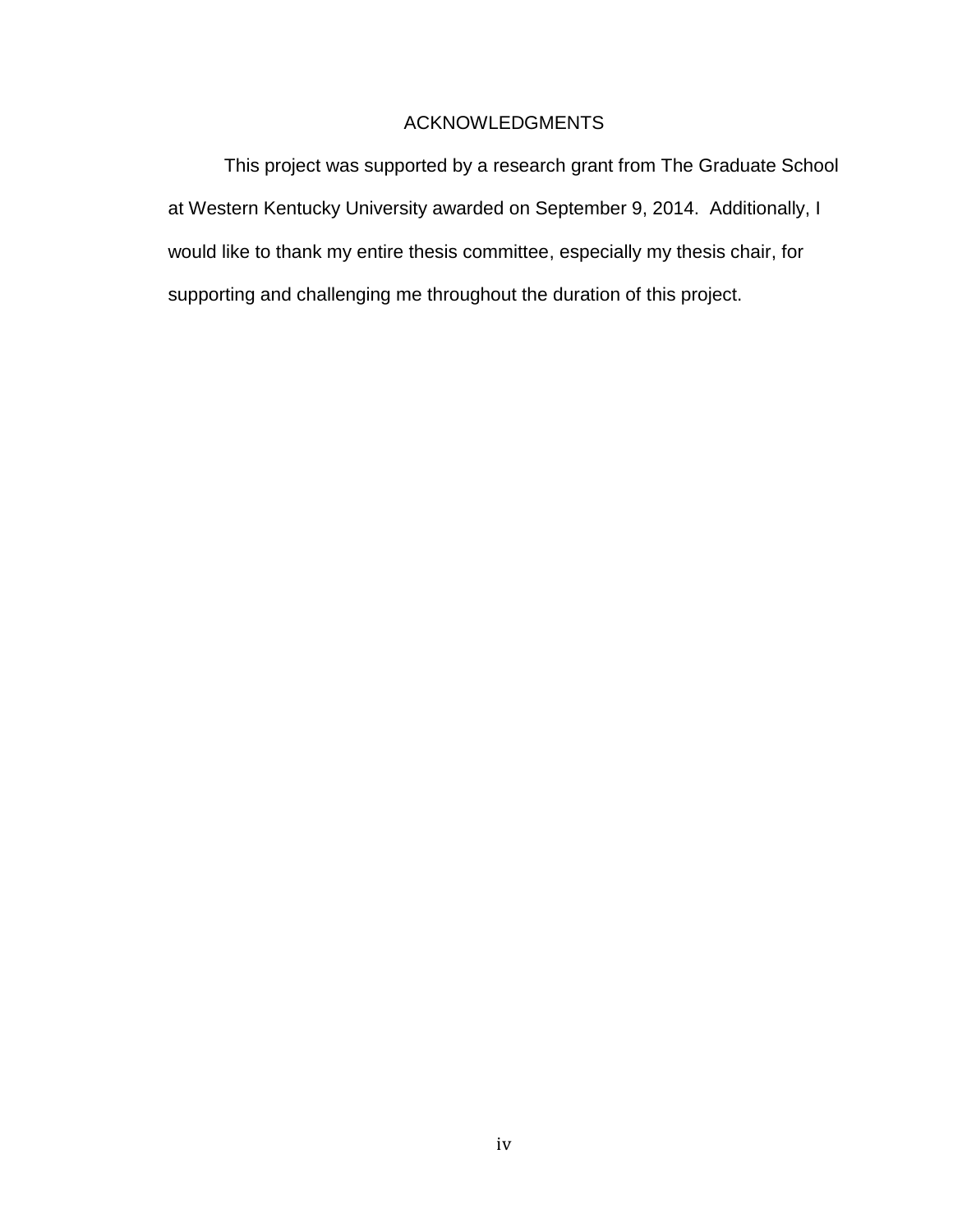### ACKNOWLEDGMENTS

This project was supported by a research grant from The Graduate School at Western Kentucky University awarded on September 9, 2014. Additionally, I would like to thank my entire thesis committee, especially my thesis chair, for supporting and challenging me throughout the duration of this project.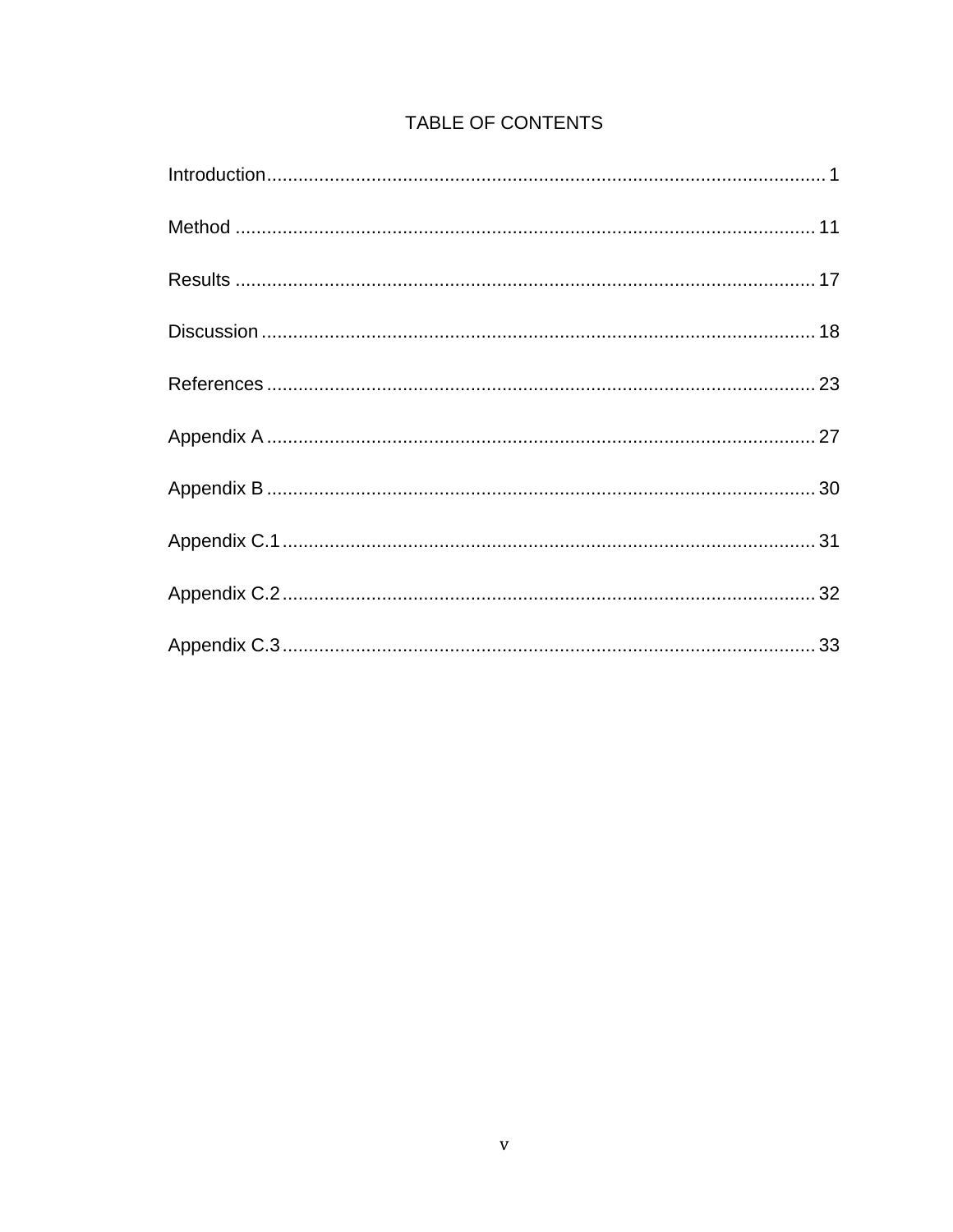## TABLE OF CONTENTS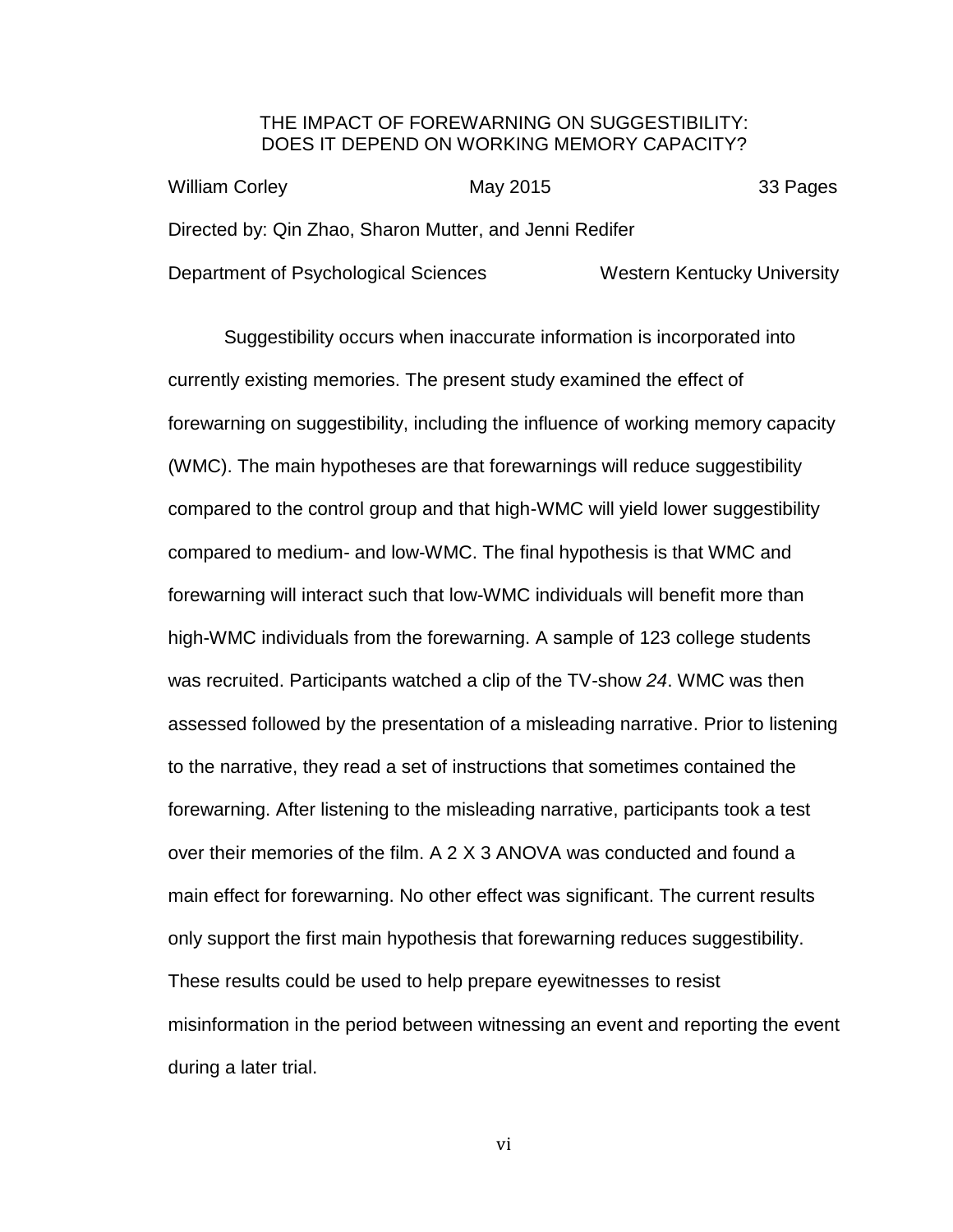#### THE IMPACT OF FOREWARNING ON SUGGESTIBILITY: DOES IT DEPEND ON WORKING MEMORY CAPACITY?

| <b>William Corley</b>                                   | May 2015 | 33 Pages                           |
|---------------------------------------------------------|----------|------------------------------------|
| Directed by: Qin Zhao, Sharon Mutter, and Jenni Redifer |          |                                    |
| Department of Psychological Sciences                    |          | <b>Western Kentucky University</b> |

Suggestibility occurs when inaccurate information is incorporated into currently existing memories. The present study examined the effect of forewarning on suggestibility, including the influence of working memory capacity (WMC). The main hypotheses are that forewarnings will reduce suggestibility compared to the control group and that high-WMC will yield lower suggestibility compared to medium- and low-WMC. The final hypothesis is that WMC and forewarning will interact such that low-WMC individuals will benefit more than high-WMC individuals from the forewarning. A sample of 123 college students was recruited. Participants watched a clip of the TV-show *24*. WMC was then assessed followed by the presentation of a misleading narrative. Prior to listening to the narrative, they read a set of instructions that sometimes contained the forewarning. After listening to the misleading narrative, participants took a test over their memories of the film. A 2 X 3 ANOVA was conducted and found a main effect for forewarning. No other effect was significant. The current results only support the first main hypothesis that forewarning reduces suggestibility. These results could be used to help prepare eyewitnesses to resist misinformation in the period between witnessing an event and reporting the event during a later trial.

vi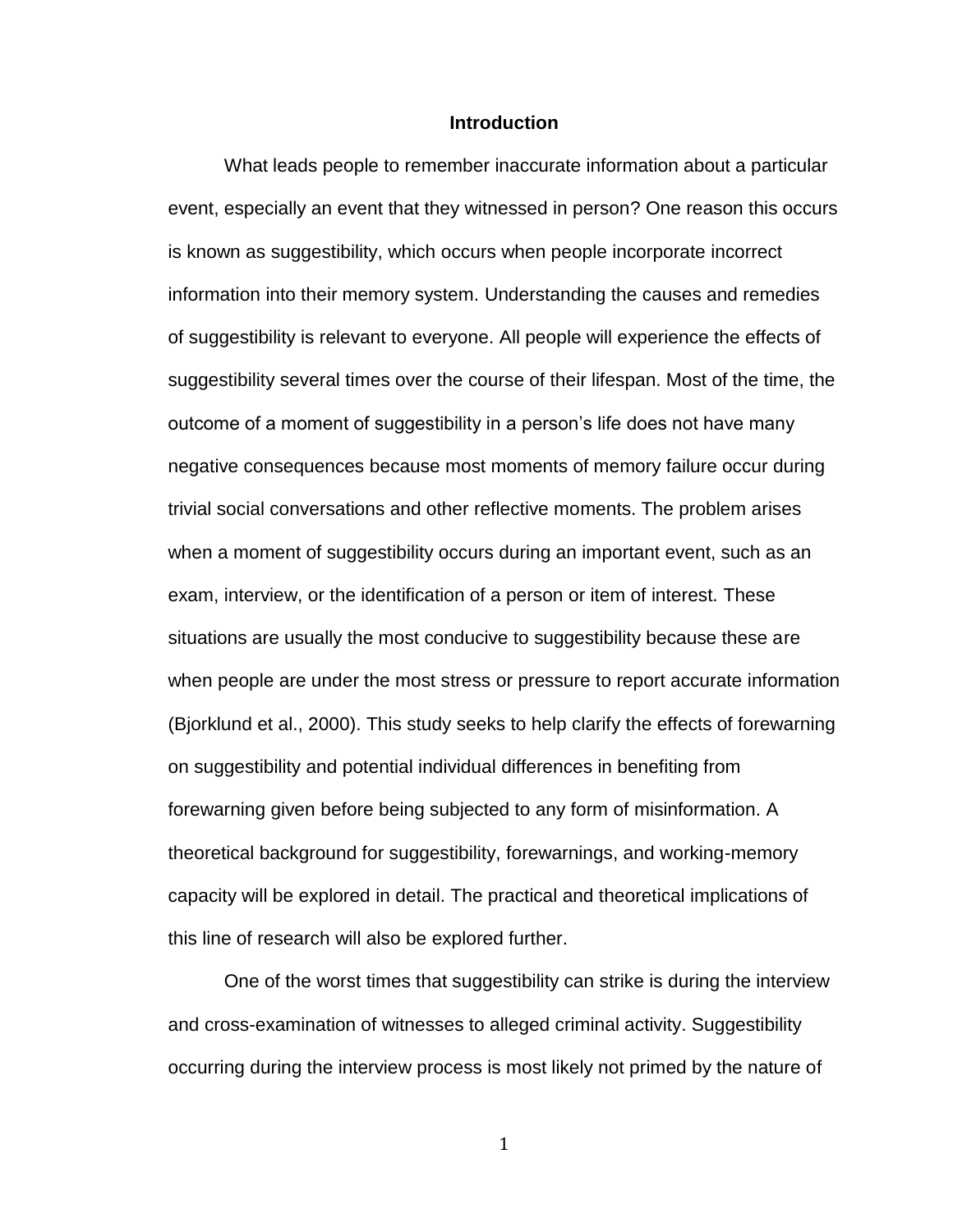#### **Introduction**

<span id="page-7-0"></span>What leads people to remember inaccurate information about a particular event, especially an event that they witnessed in person? One reason this occurs is known as suggestibility, which occurs when people incorporate incorrect information into their memory system. Understanding the causes and remedies of suggestibility is relevant to everyone. All people will experience the effects of suggestibility several times over the course of their lifespan. Most of the time, the outcome of a moment of suggestibility in a person's life does not have many negative consequences because most moments of memory failure occur during trivial social conversations and other reflective moments. The problem arises when a moment of suggestibility occurs during an important event, such as an exam, interview, or the identification of a person or item of interest. These situations are usually the most conducive to suggestibility because these are when people are under the most stress or pressure to report accurate information (Bjorklund et al., 2000). This study seeks to help clarify the effects of forewarning on suggestibility and potential individual differences in benefiting from forewarning given before being subjected to any form of misinformation. A theoretical background for suggestibility, forewarnings, and working-memory capacity will be explored in detail. The practical and theoretical implications of this line of research will also be explored further.

One of the worst times that suggestibility can strike is during the interview and cross-examination of witnesses to alleged criminal activity. Suggestibility occurring during the interview process is most likely not primed by the nature of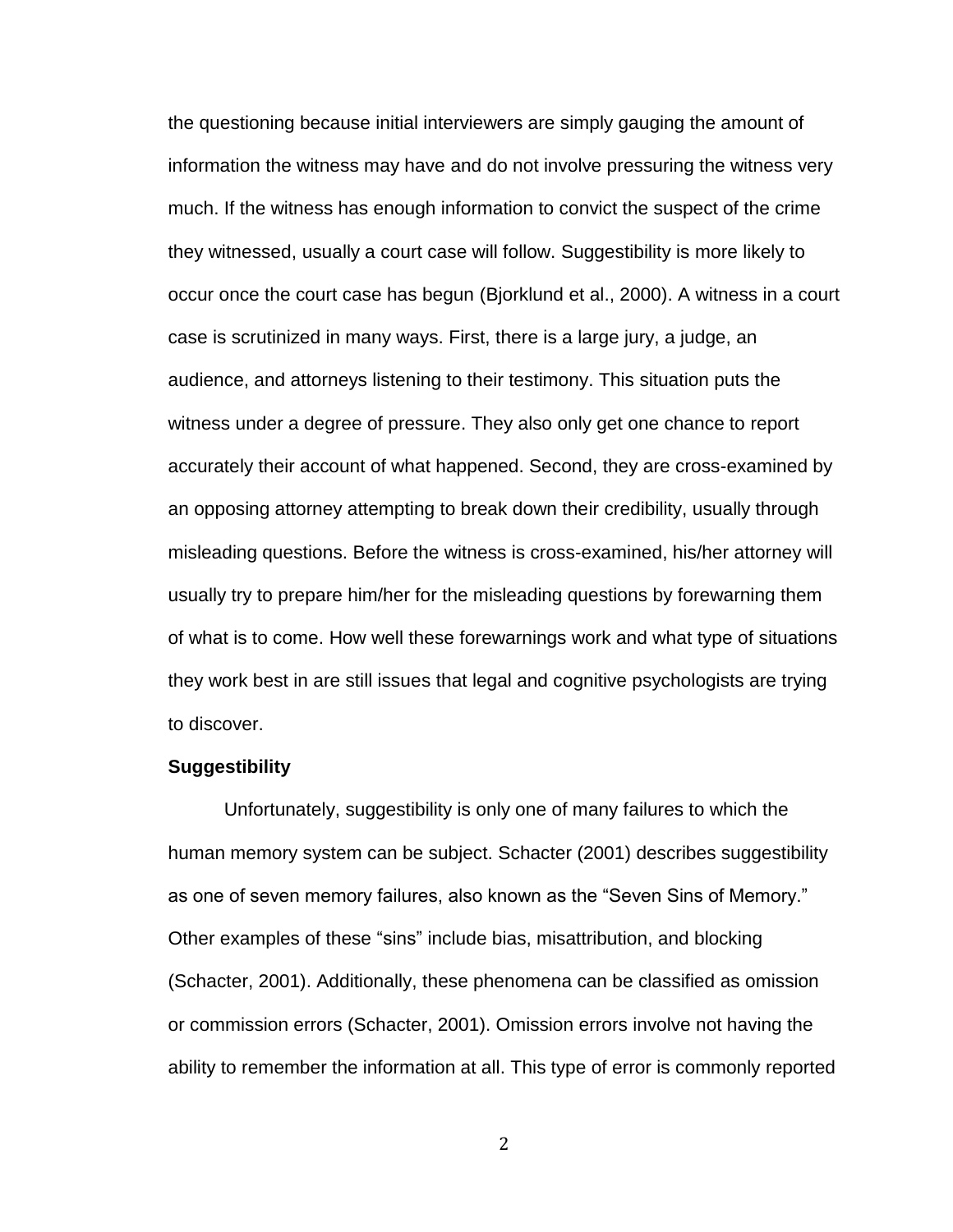the questioning because initial interviewers are simply gauging the amount of information the witness may have and do not involve pressuring the witness very much. If the witness has enough information to convict the suspect of the crime they witnessed, usually a court case will follow. Suggestibility is more likely to occur once the court case has begun (Bjorklund et al., 2000). A witness in a court case is scrutinized in many ways. First, there is a large jury, a judge, an audience, and attorneys listening to their testimony. This situation puts the witness under a degree of pressure. They also only get one chance to report accurately their account of what happened. Second, they are cross-examined by an opposing attorney attempting to break down their credibility, usually through misleading questions. Before the witness is cross-examined, his/her attorney will usually try to prepare him/her for the misleading questions by forewarning them of what is to come. How well these forewarnings work and what type of situations they work best in are still issues that legal and cognitive psychologists are trying to discover.

#### **Suggestibility**

Unfortunately, suggestibility is only one of many failures to which the human memory system can be subject. Schacter (2001) describes suggestibility as one of seven memory failures, also known as the "Seven Sins of Memory." Other examples of these "sins" include bias, misattribution, and blocking (Schacter, 2001). Additionally, these phenomena can be classified as omission or commission errors (Schacter, 2001). Omission errors involve not having the ability to remember the information at all. This type of error is commonly reported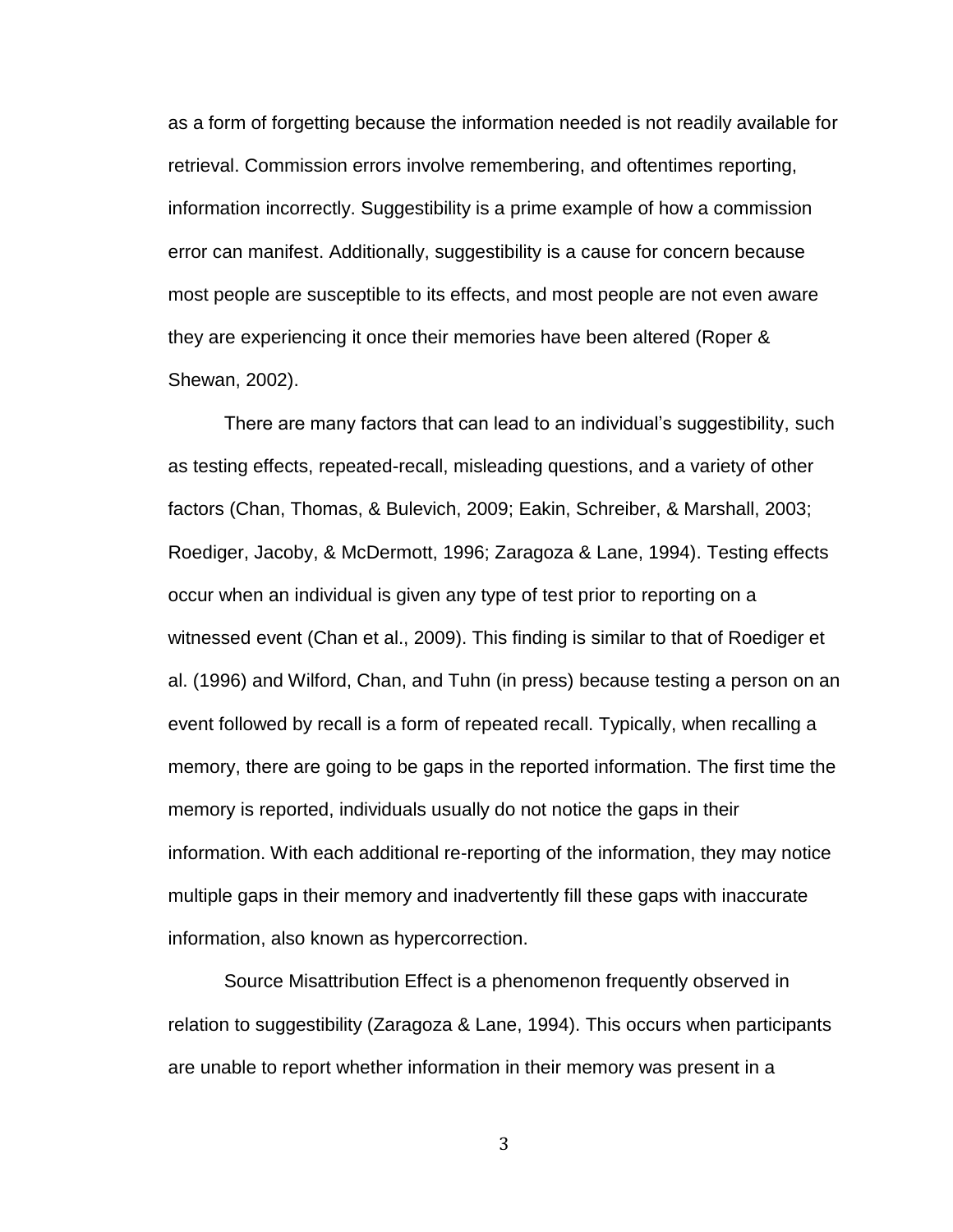as a form of forgetting because the information needed is not readily available for retrieval. Commission errors involve remembering, and oftentimes reporting, information incorrectly. Suggestibility is a prime example of how a commission error can manifest. Additionally, suggestibility is a cause for concern because most people are susceptible to its effects, and most people are not even aware they are experiencing it once their memories have been altered (Roper & Shewan, 2002).

There are many factors that can lead to an individual's suggestibility, such as testing effects, repeated-recall, misleading questions, and a variety of other factors (Chan, Thomas, & Bulevich, 2009; Eakin, Schreiber, & Marshall, 2003; Roediger, Jacoby, & McDermott, 1996; Zaragoza & Lane, 1994). Testing effects occur when an individual is given any type of test prior to reporting on a witnessed event (Chan et al., 2009). This finding is similar to that of Roediger et al. (1996) and Wilford, Chan, and Tuhn (in press) because testing a person on an event followed by recall is a form of repeated recall. Typically, when recalling a memory, there are going to be gaps in the reported information. The first time the memory is reported, individuals usually do not notice the gaps in their information. With each additional re-reporting of the information, they may notice multiple gaps in their memory and inadvertently fill these gaps with inaccurate information, also known as hypercorrection.

Source Misattribution Effect is a phenomenon frequently observed in relation to suggestibility (Zaragoza & Lane, 1994). This occurs when participants are unable to report whether information in their memory was present in a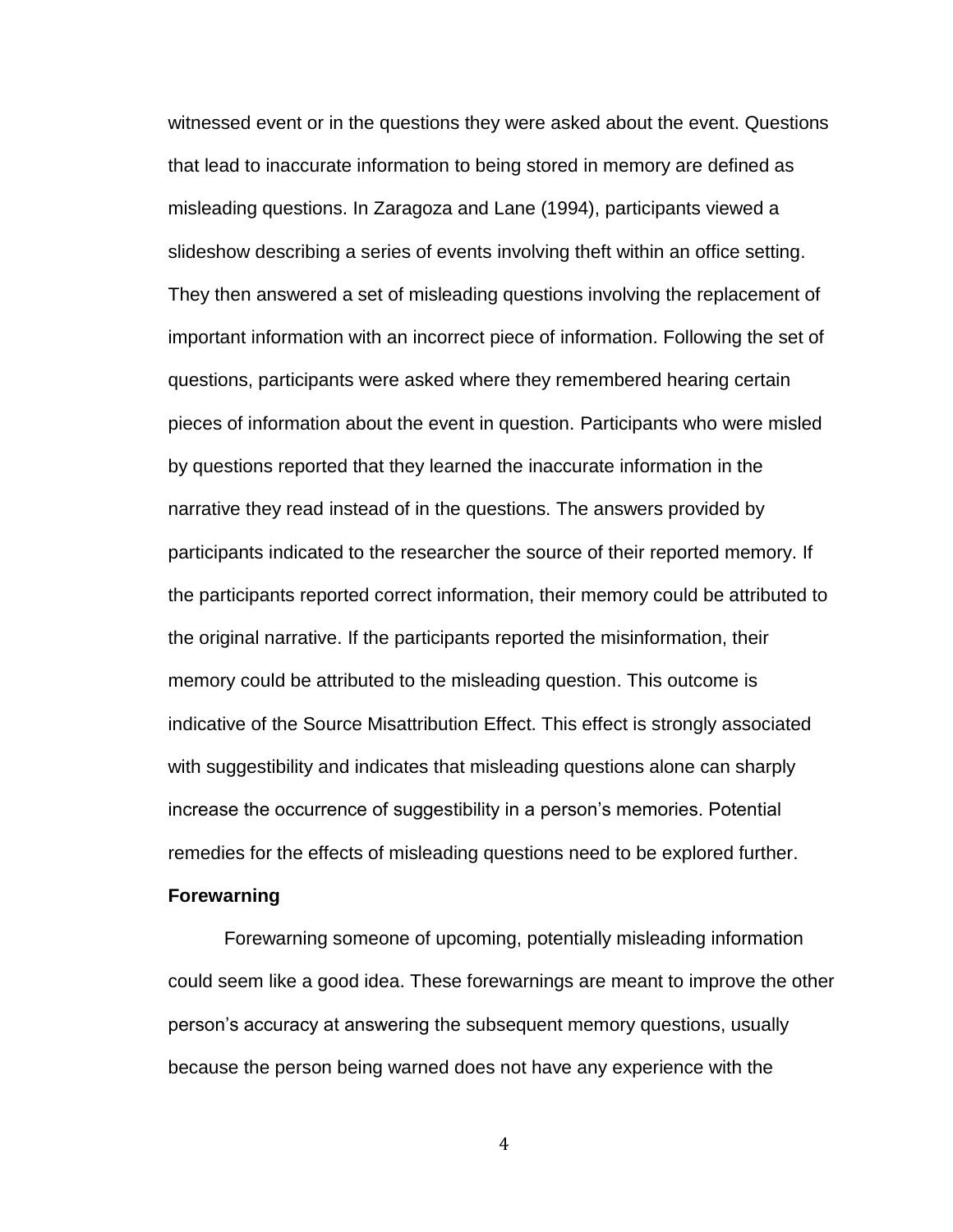witnessed event or in the questions they were asked about the event. Questions that lead to inaccurate information to being stored in memory are defined as misleading questions. In Zaragoza and Lane (1994), participants viewed a slideshow describing a series of events involving theft within an office setting. They then answered a set of misleading questions involving the replacement of important information with an incorrect piece of information. Following the set of questions, participants were asked where they remembered hearing certain pieces of information about the event in question. Participants who were misled by questions reported that they learned the inaccurate information in the narrative they read instead of in the questions. The answers provided by participants indicated to the researcher the source of their reported memory. If the participants reported correct information, their memory could be attributed to the original narrative. If the participants reported the misinformation, their memory could be attributed to the misleading question. This outcome is indicative of the Source Misattribution Effect. This effect is strongly associated with suggestibility and indicates that misleading questions alone can sharply increase the occurrence of suggestibility in a person's memories. Potential remedies for the effects of misleading questions need to be explored further.

#### **Forewarning**

Forewarning someone of upcoming, potentially misleading information could seem like a good idea. These forewarnings are meant to improve the other person's accuracy at answering the subsequent memory questions, usually because the person being warned does not have any experience with the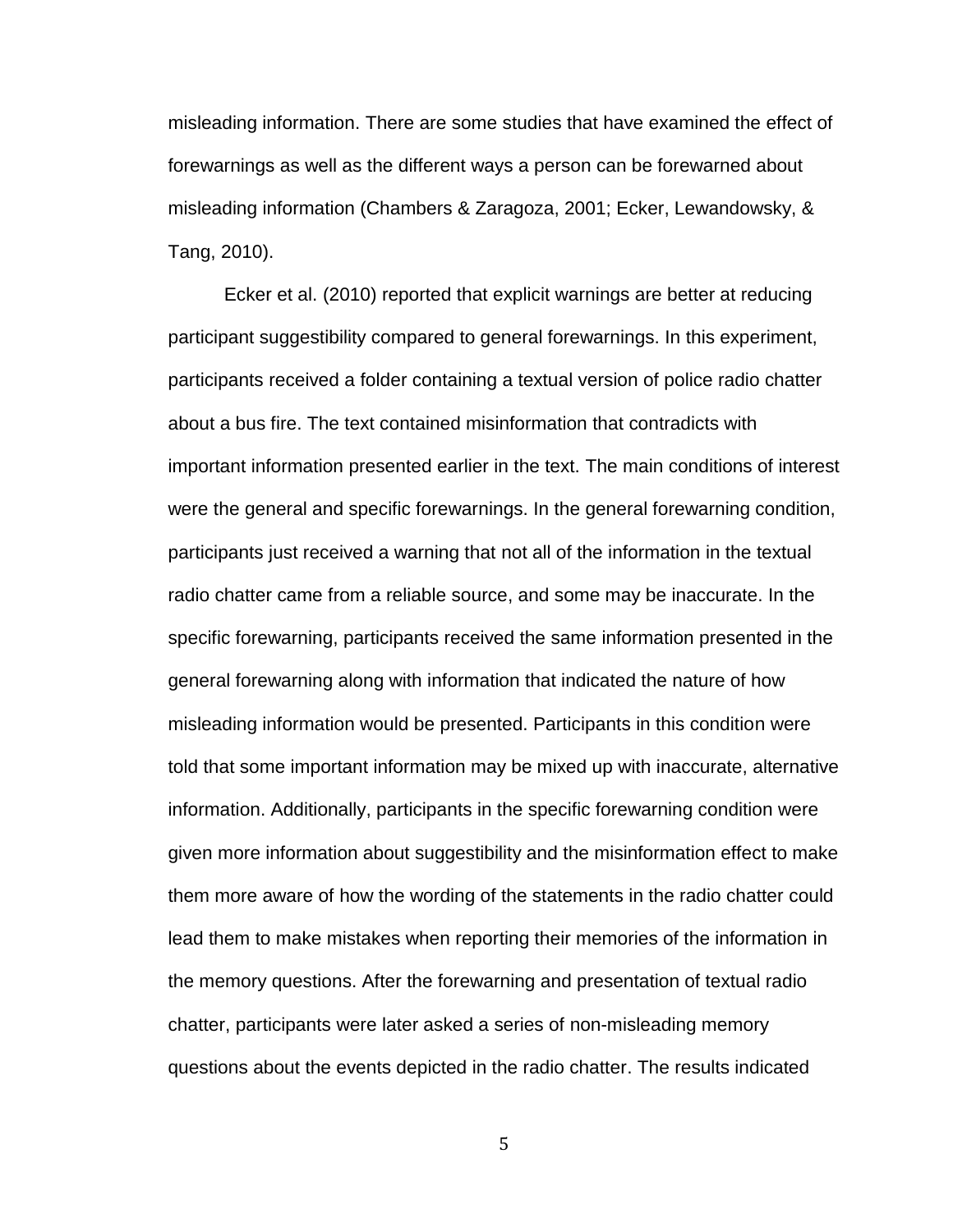misleading information. There are some studies that have examined the effect of forewarnings as well as the different ways a person can be forewarned about misleading information (Chambers & Zaragoza, 2001; Ecker, Lewandowsky, & Tang, 2010).

Ecker et al. (2010) reported that explicit warnings are better at reducing participant suggestibility compared to general forewarnings. In this experiment, participants received a folder containing a textual version of police radio chatter about a bus fire. The text contained misinformation that contradicts with important information presented earlier in the text. The main conditions of interest were the general and specific forewarnings. In the general forewarning condition, participants just received a warning that not all of the information in the textual radio chatter came from a reliable source, and some may be inaccurate. In the specific forewarning, participants received the same information presented in the general forewarning along with information that indicated the nature of how misleading information would be presented. Participants in this condition were told that some important information may be mixed up with inaccurate, alternative information. Additionally, participants in the specific forewarning condition were given more information about suggestibility and the misinformation effect to make them more aware of how the wording of the statements in the radio chatter could lead them to make mistakes when reporting their memories of the information in the memory questions. After the forewarning and presentation of textual radio chatter, participants were later asked a series of non-misleading memory questions about the events depicted in the radio chatter. The results indicated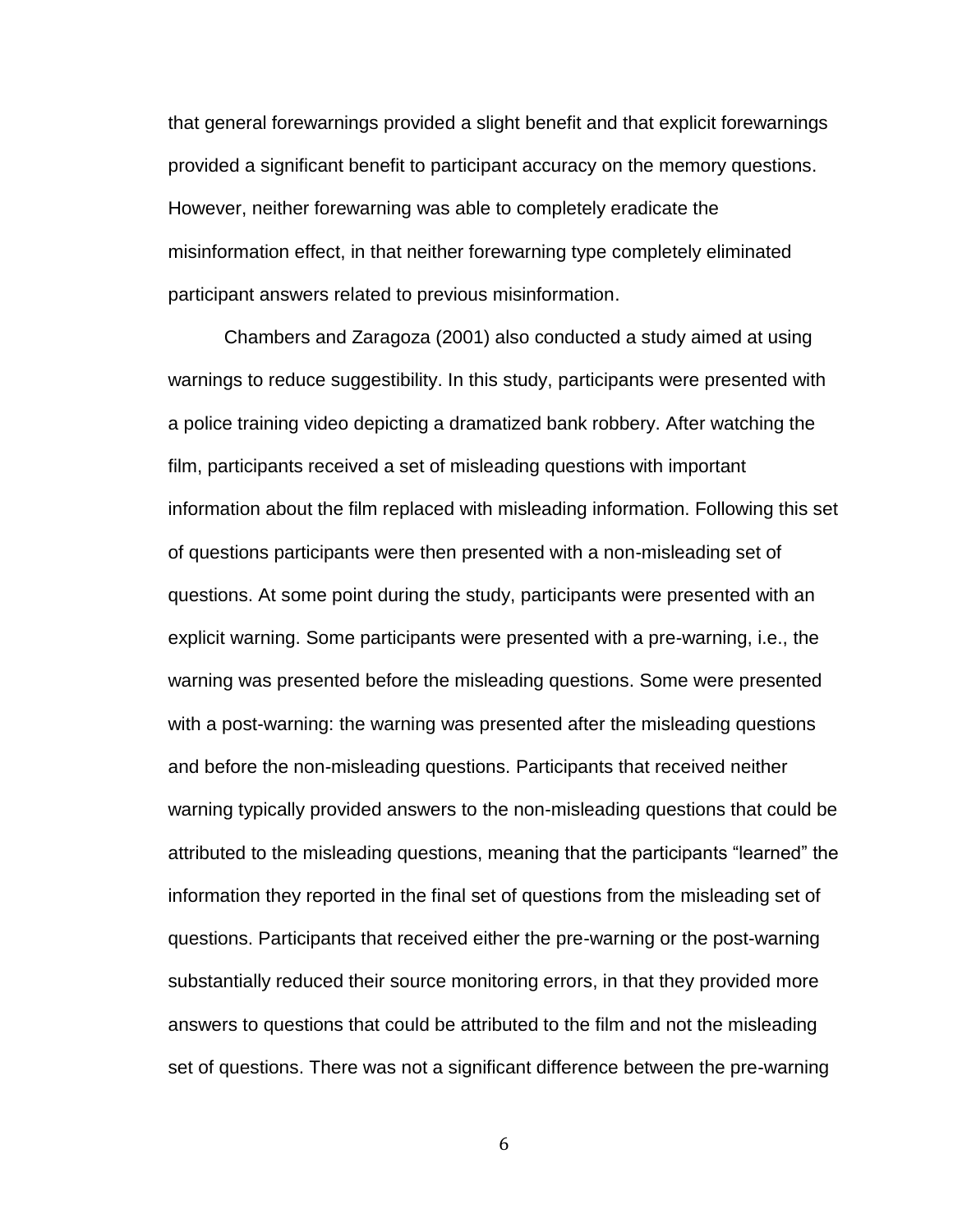that general forewarnings provided a slight benefit and that explicit forewarnings provided a significant benefit to participant accuracy on the memory questions. However, neither forewarning was able to completely eradicate the misinformation effect, in that neither forewarning type completely eliminated participant answers related to previous misinformation.

Chambers and Zaragoza (2001) also conducted a study aimed at using warnings to reduce suggestibility. In this study, participants were presented with a police training video depicting a dramatized bank robbery. After watching the film, participants received a set of misleading questions with important information about the film replaced with misleading information. Following this set of questions participants were then presented with a non-misleading set of questions. At some point during the study, participants were presented with an explicit warning. Some participants were presented with a pre-warning, i.e., the warning was presented before the misleading questions. Some were presented with a post-warning: the warning was presented after the misleading questions and before the non-misleading questions. Participants that received neither warning typically provided answers to the non-misleading questions that could be attributed to the misleading questions, meaning that the participants "learned" the information they reported in the final set of questions from the misleading set of questions. Participants that received either the pre-warning or the post-warning substantially reduced their source monitoring errors, in that they provided more answers to questions that could be attributed to the film and not the misleading set of questions. There was not a significant difference between the pre-warning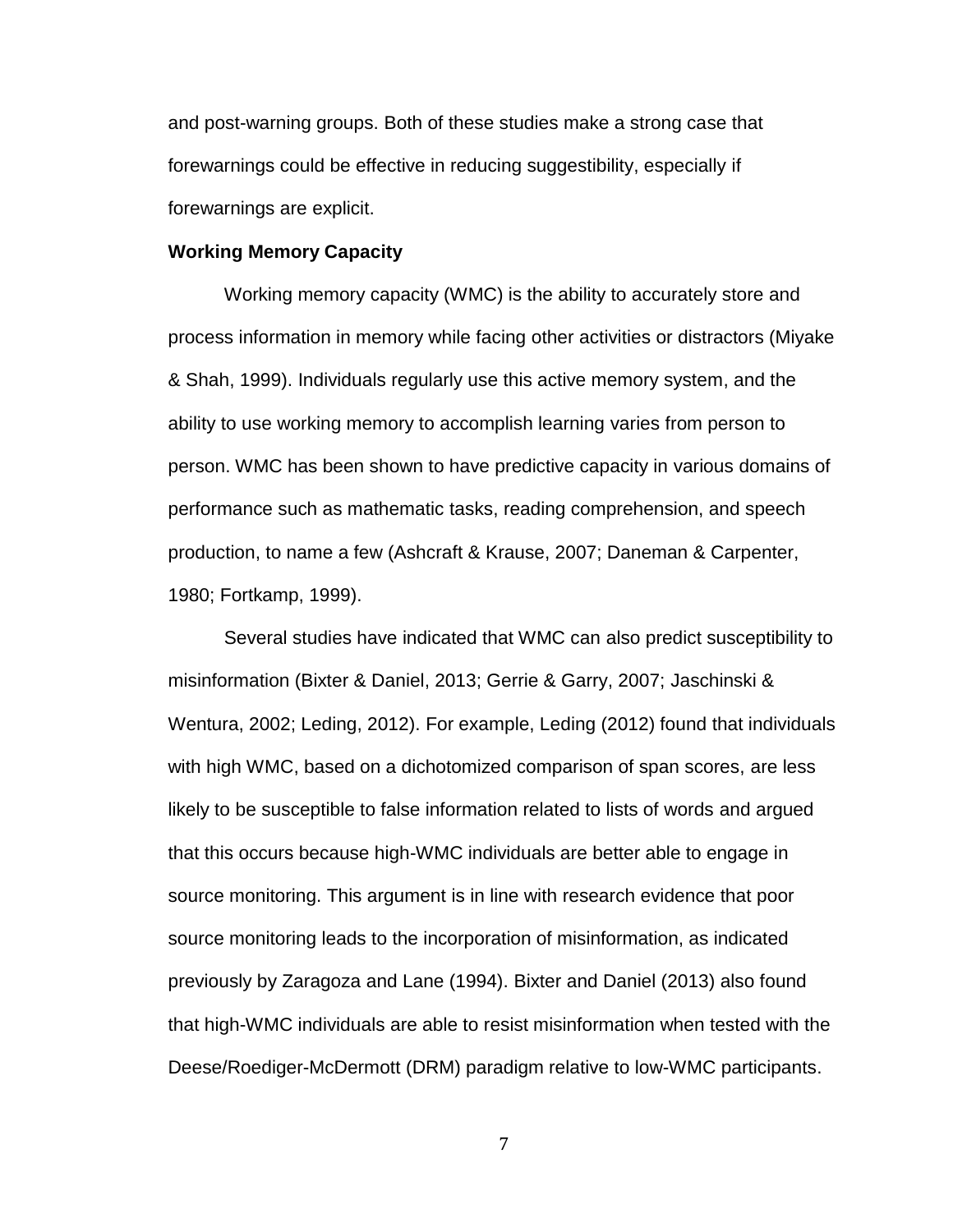and post-warning groups. Both of these studies make a strong case that forewarnings could be effective in reducing suggestibility, especially if forewarnings are explicit.

#### **Working Memory Capacity**

Working memory capacity (WMC) is the ability to accurately store and process information in memory while facing other activities or distractors (Miyake & Shah, 1999). Individuals regularly use this active memory system, and the ability to use working memory to accomplish learning varies from person to person. WMC has been shown to have predictive capacity in various domains of performance such as mathematic tasks, reading comprehension, and speech production, to name a few (Ashcraft & Krause, 2007; Daneman & Carpenter, 1980; Fortkamp, 1999).

Several studies have indicated that WMC can also predict susceptibility to misinformation (Bixter & Daniel, 2013; Gerrie & Garry, 2007; Jaschinski & Wentura, 2002; Leding, 2012). For example, Leding (2012) found that individuals with high WMC, based on a dichotomized comparison of span scores, are less likely to be susceptible to false information related to lists of words and argued that this occurs because high-WMC individuals are better able to engage in source monitoring. This argument is in line with research evidence that poor source monitoring leads to the incorporation of misinformation, as indicated previously by Zaragoza and Lane (1994). Bixter and Daniel (2013) also found that high-WMC individuals are able to resist misinformation when tested with the Deese/Roediger-McDermott (DRM) paradigm relative to low-WMC participants.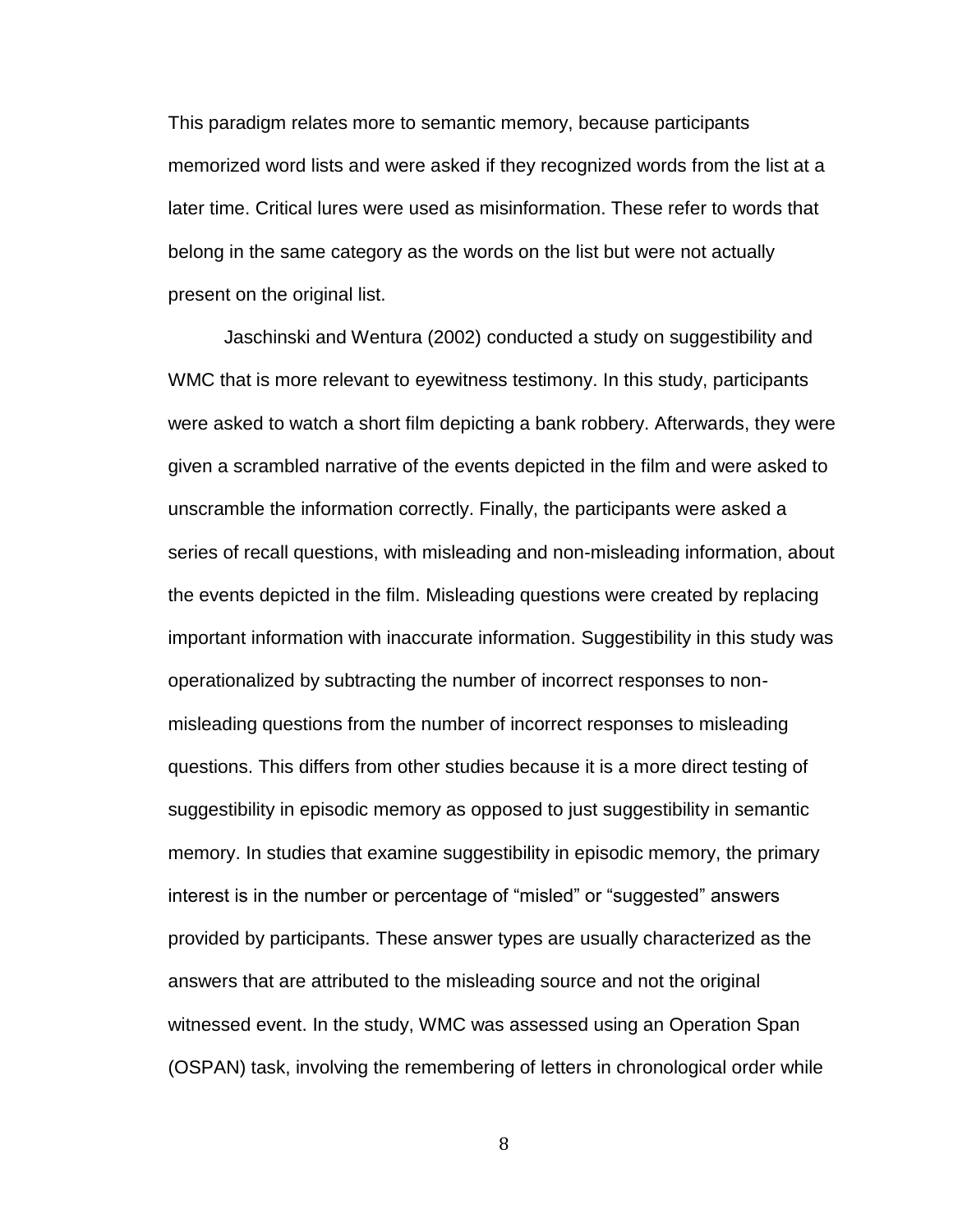This paradigm relates more to semantic memory, because participants memorized word lists and were asked if they recognized words from the list at a later time. Critical lures were used as misinformation. These refer to words that belong in the same category as the words on the list but were not actually present on the original list.

Jaschinski and Wentura (2002) conducted a study on suggestibility and WMC that is more relevant to eyewitness testimony. In this study, participants were asked to watch a short film depicting a bank robbery. Afterwards, they were given a scrambled narrative of the events depicted in the film and were asked to unscramble the information correctly. Finally, the participants were asked a series of recall questions, with misleading and non-misleading information, about the events depicted in the film. Misleading questions were created by replacing important information with inaccurate information. Suggestibility in this study was operationalized by subtracting the number of incorrect responses to nonmisleading questions from the number of incorrect responses to misleading questions. This differs from other studies because it is a more direct testing of suggestibility in episodic memory as opposed to just suggestibility in semantic memory. In studies that examine suggestibility in episodic memory, the primary interest is in the number or percentage of "misled" or "suggested" answers provided by participants. These answer types are usually characterized as the answers that are attributed to the misleading source and not the original witnessed event. In the study, WMC was assessed using an Operation Span (OSPAN) task, involving the remembering of letters in chronological order while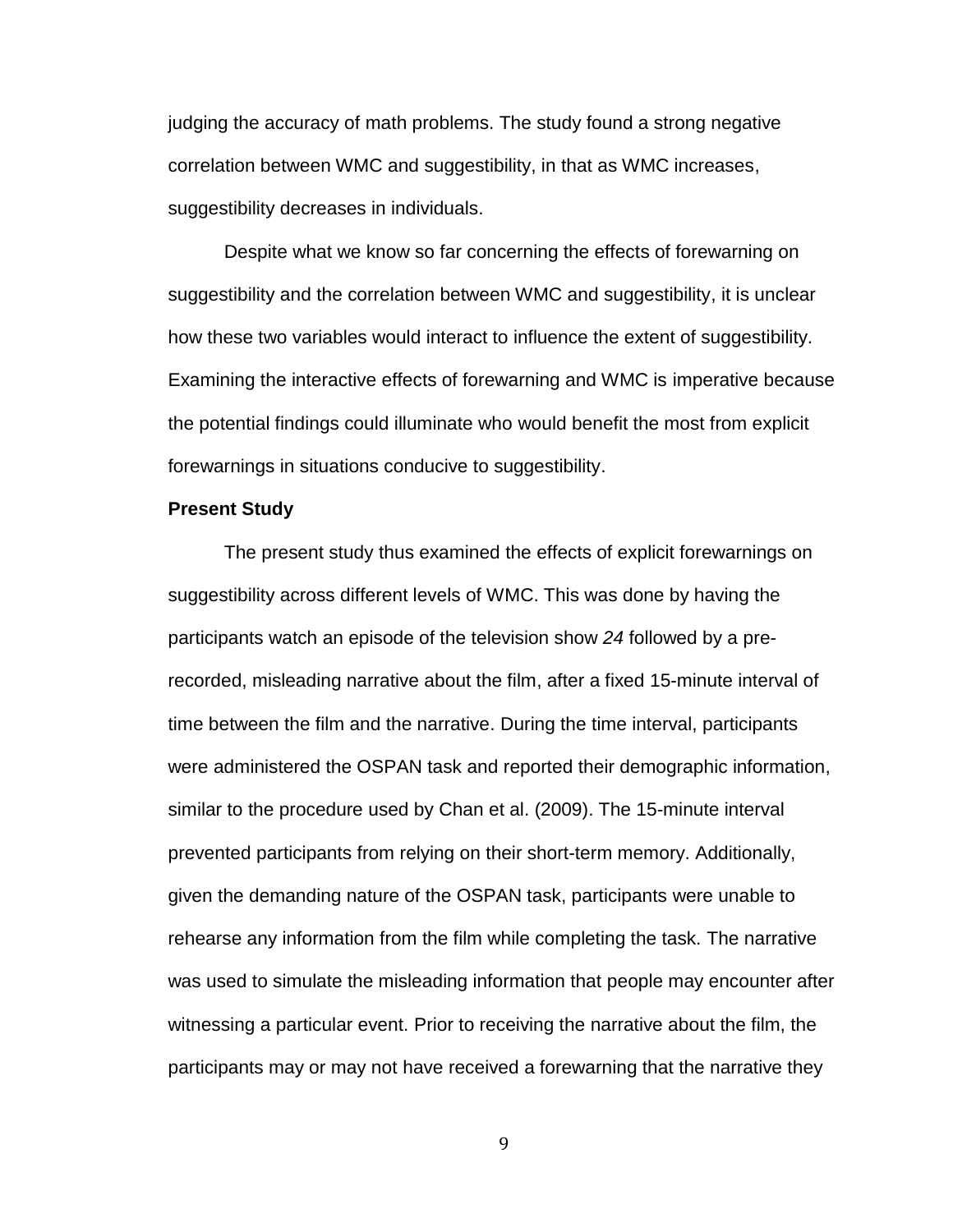judging the accuracy of math problems. The study found a strong negative correlation between WMC and suggestibility, in that as WMC increases, suggestibility decreases in individuals.

Despite what we know so far concerning the effects of forewarning on suggestibility and the correlation between WMC and suggestibility, it is unclear how these two variables would interact to influence the extent of suggestibility. Examining the interactive effects of forewarning and WMC is imperative because the potential findings could illuminate who would benefit the most from explicit forewarnings in situations conducive to suggestibility.

#### **Present Study**

The present study thus examined the effects of explicit forewarnings on suggestibility across different levels of WMC. This was done by having the participants watch an episode of the television show *24* followed by a prerecorded, misleading narrative about the film, after a fixed 15-minute interval of time between the film and the narrative. During the time interval, participants were administered the OSPAN task and reported their demographic information, similar to the procedure used by Chan et al. (2009). The 15-minute interval prevented participants from relying on their short-term memory. Additionally, given the demanding nature of the OSPAN task, participants were unable to rehearse any information from the film while completing the task. The narrative was used to simulate the misleading information that people may encounter after witnessing a particular event. Prior to receiving the narrative about the film, the participants may or may not have received a forewarning that the narrative they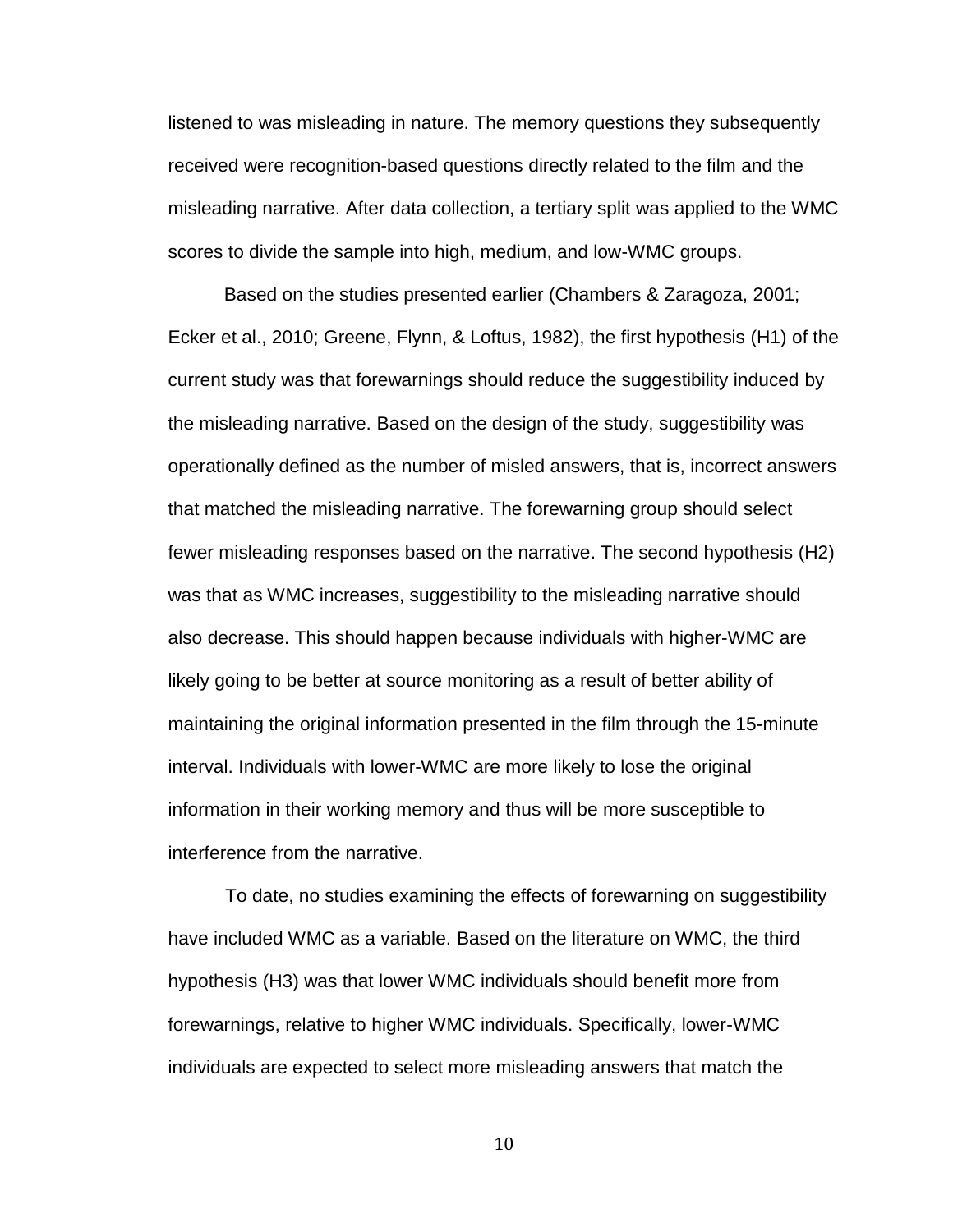listened to was misleading in nature. The memory questions they subsequently received were recognition-based questions directly related to the film and the misleading narrative. After data collection, a tertiary split was applied to the WMC scores to divide the sample into high, medium, and low-WMC groups.

Based on the studies presented earlier (Chambers & Zaragoza, 2001; Ecker et al., 2010; Greene, Flynn, & Loftus, 1982), the first hypothesis (H1) of the current study was that forewarnings should reduce the suggestibility induced by the misleading narrative. Based on the design of the study, suggestibility was operationally defined as the number of misled answers, that is, incorrect answers that matched the misleading narrative. The forewarning group should select fewer misleading responses based on the narrative. The second hypothesis (H2) was that as WMC increases, suggestibility to the misleading narrative should also decrease. This should happen because individuals with higher-WMC are likely going to be better at source monitoring as a result of better ability of maintaining the original information presented in the film through the 15-minute interval. Individuals with lower-WMC are more likely to lose the original information in their working memory and thus will be more susceptible to interference from the narrative.

 To date, no studies examining the effects of forewarning on suggestibility have included WMC as a variable. Based on the literature on WMC, the third hypothesis (H3) was that lower WMC individuals should benefit more from forewarnings, relative to higher WMC individuals. Specifically, lower-WMC individuals are expected to select more misleading answers that match the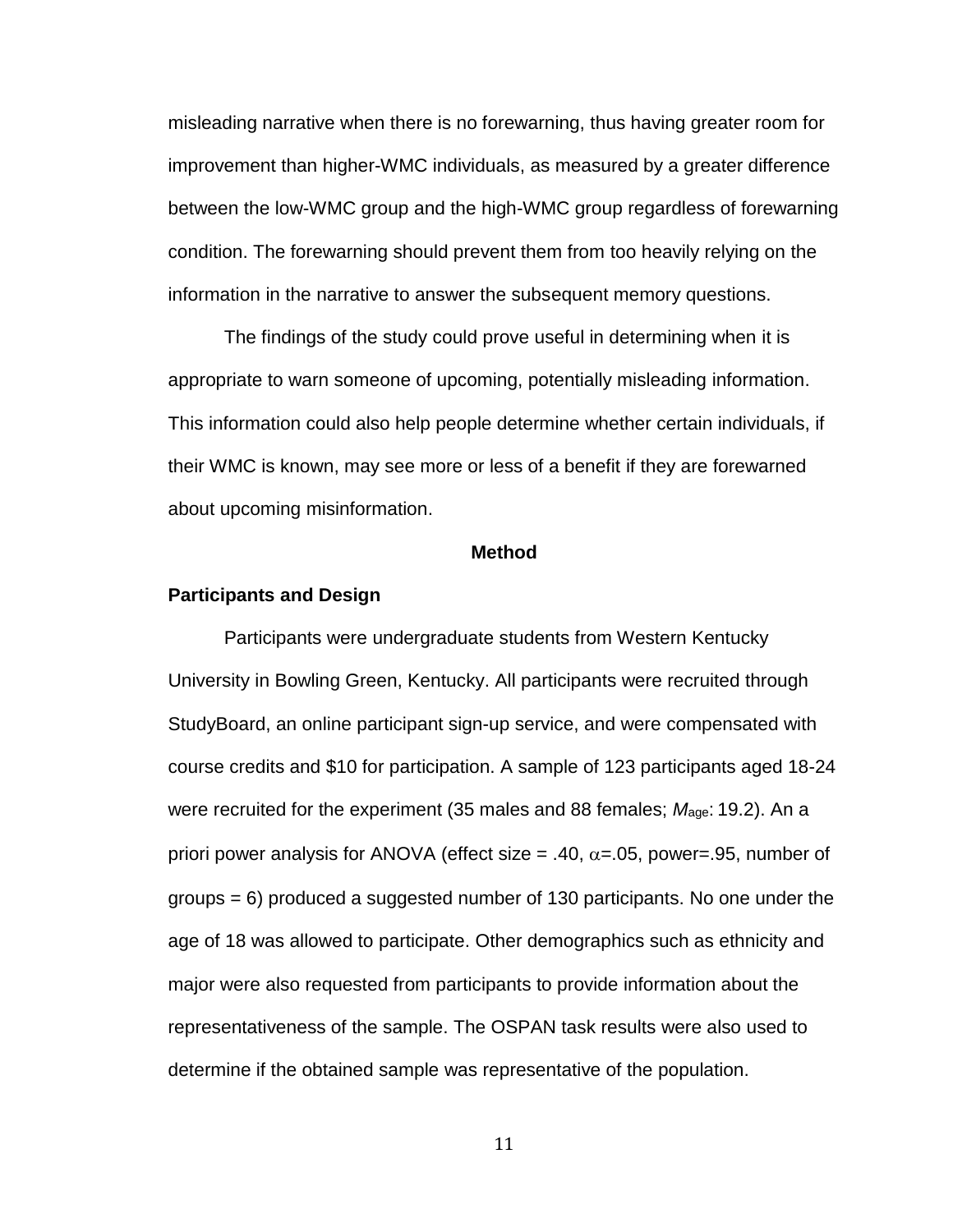misleading narrative when there is no forewarning, thus having greater room for improvement than higher-WMC individuals, as measured by a greater difference between the low-WMC group and the high-WMC group regardless of forewarning condition. The forewarning should prevent them from too heavily relying on the information in the narrative to answer the subsequent memory questions.

The findings of the study could prove useful in determining when it is appropriate to warn someone of upcoming, potentially misleading information. This information could also help people determine whether certain individuals, if their WMC is known, may see more or less of a benefit if they are forewarned about upcoming misinformation.

#### **Method**

#### <span id="page-17-0"></span>**Participants and Design**

Participants were undergraduate students from Western Kentucky University in Bowling Green, Kentucky. All participants were recruited through StudyBoard, an online participant sign-up service, and were compensated with course credits and \$10 for participation. A sample of 123 participants aged 18-24 were recruited for the experiment (35 males and 88 females; *M*age: 19.2). An a priori power analysis for ANOVA (effect size = .40,  $\alpha$ =.05, power=.95, number of groups = 6) produced a suggested number of 130 participants. No one under the age of 18 was allowed to participate. Other demographics such as ethnicity and major were also requested from participants to provide information about the representativeness of the sample. The OSPAN task results were also used to determine if the obtained sample was representative of the population.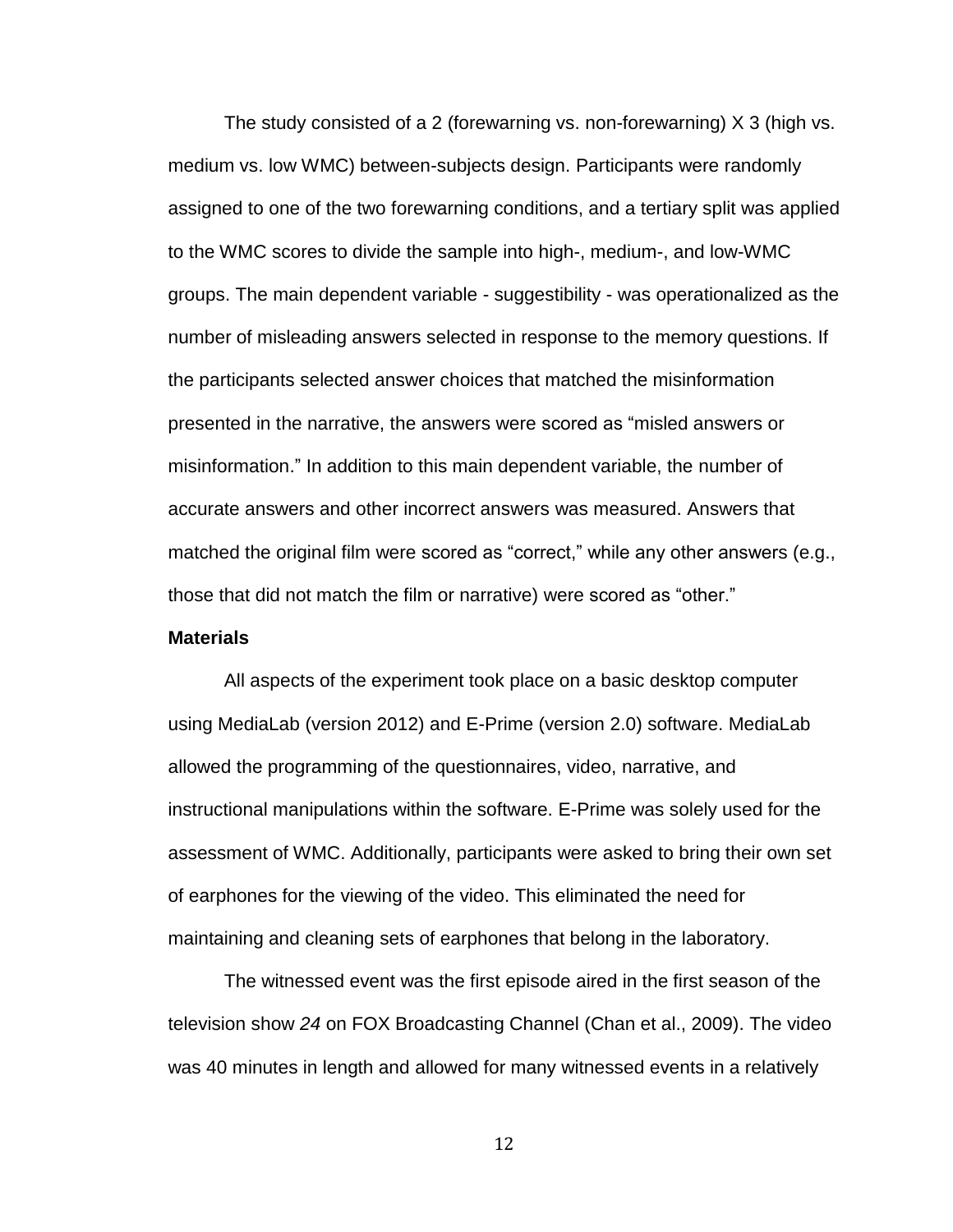The study consisted of a 2 (forewarning vs. non-forewarning) X 3 (high vs. medium vs. low WMC) between-subjects design. Participants were randomly assigned to one of the two forewarning conditions, and a tertiary split was applied to the WMC scores to divide the sample into high-, medium-, and low-WMC groups. The main dependent variable - suggestibility - was operationalized as the number of misleading answers selected in response to the memory questions. If the participants selected answer choices that matched the misinformation presented in the narrative, the answers were scored as "misled answers or misinformation." In addition to this main dependent variable, the number of accurate answers and other incorrect answers was measured. Answers that matched the original film were scored as "correct," while any other answers (e.g., those that did not match the film or narrative) were scored as "other."

#### **Materials**

All aspects of the experiment took place on a basic desktop computer using MediaLab (version 2012) and E-Prime (version 2.0) software. MediaLab allowed the programming of the questionnaires, video, narrative, and instructional manipulations within the software. E-Prime was solely used for the assessment of WMC. Additionally, participants were asked to bring their own set of earphones for the viewing of the video. This eliminated the need for maintaining and cleaning sets of earphones that belong in the laboratory.

The witnessed event was the first episode aired in the first season of the television show *24* on FOX Broadcasting Channel (Chan et al., 2009). The video was 40 minutes in length and allowed for many witnessed events in a relatively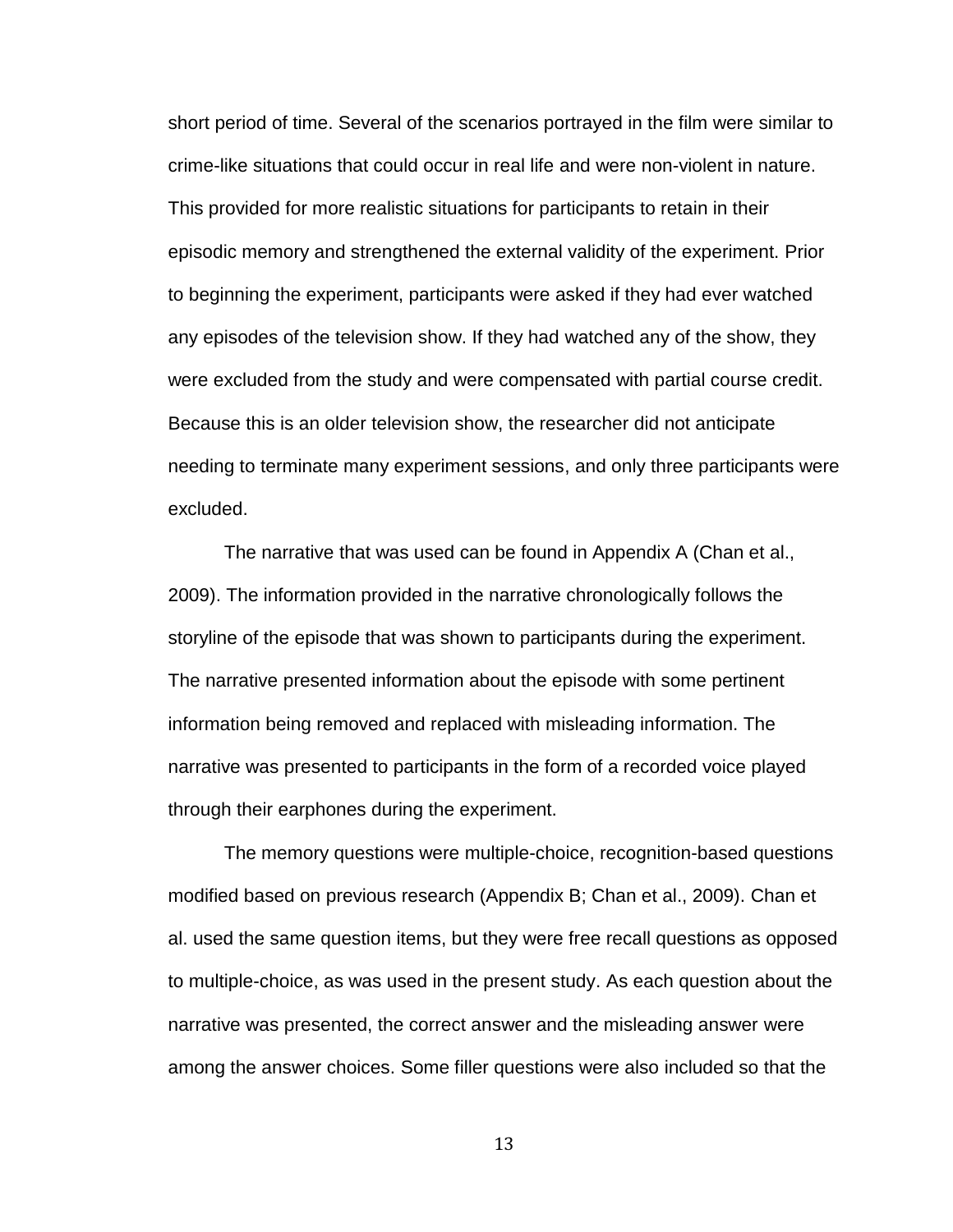short period of time. Several of the scenarios portrayed in the film were similar to crime-like situations that could occur in real life and were non-violent in nature. This provided for more realistic situations for participants to retain in their episodic memory and strengthened the external validity of the experiment. Prior to beginning the experiment, participants were asked if they had ever watched any episodes of the television show. If they had watched any of the show, they were excluded from the study and were compensated with partial course credit. Because this is an older television show, the researcher did not anticipate needing to terminate many experiment sessions, and only three participants were excluded.

The narrative that was used can be found in Appendix A (Chan et al., 2009). The information provided in the narrative chronologically follows the storyline of the episode that was shown to participants during the experiment. The narrative presented information about the episode with some pertinent information being removed and replaced with misleading information. The narrative was presented to participants in the form of a recorded voice played through their earphones during the experiment.

The memory questions were multiple-choice, recognition-based questions modified based on previous research (Appendix B; Chan et al., 2009). Chan et al. used the same question items, but they were free recall questions as opposed to multiple-choice, as was used in the present study. As each question about the narrative was presented, the correct answer and the misleading answer were among the answer choices. Some filler questions were also included so that the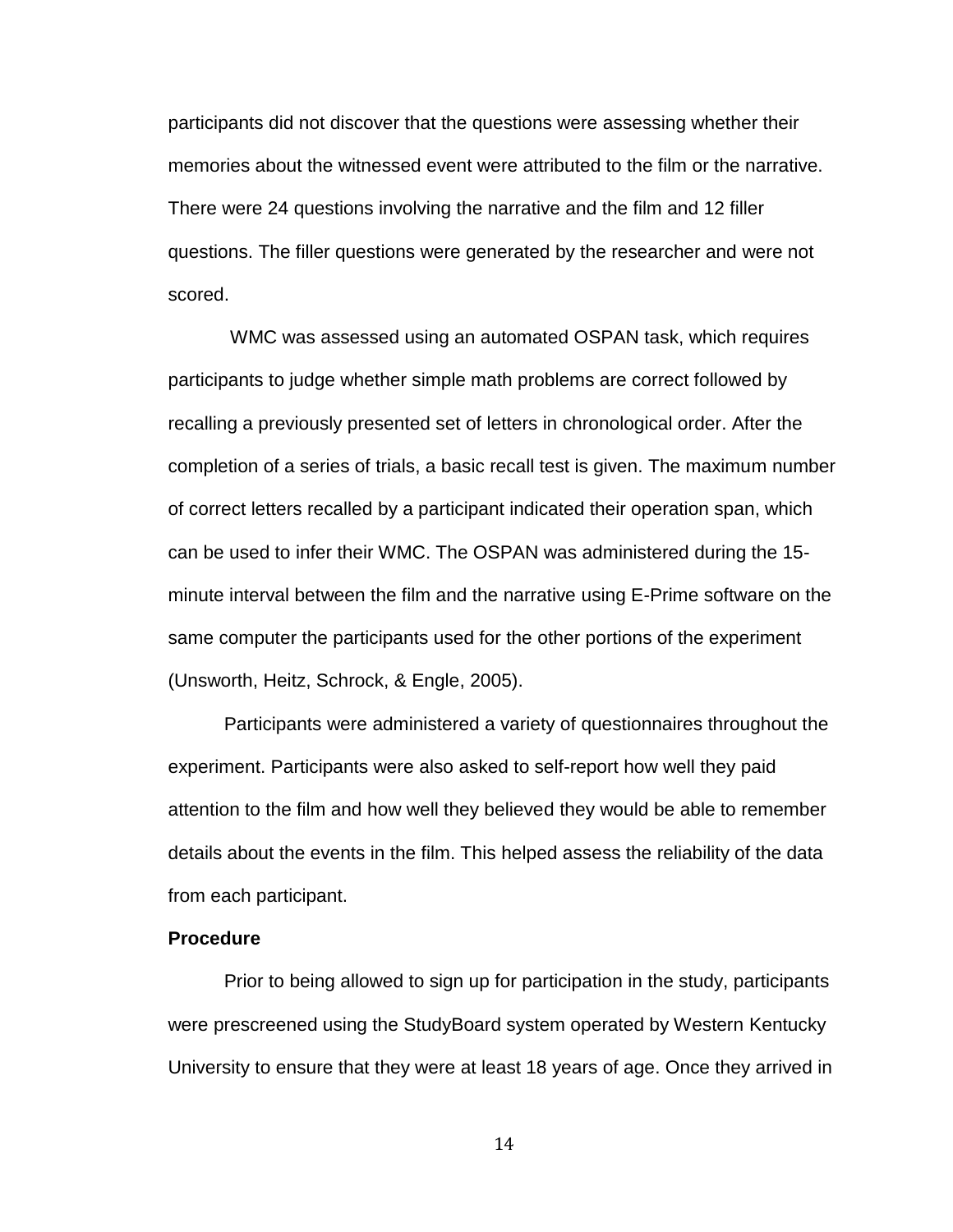participants did not discover that the questions were assessing whether their memories about the witnessed event were attributed to the film or the narrative. There were 24 questions involving the narrative and the film and 12 filler questions. The filler questions were generated by the researcher and were not scored.

 WMC was assessed using an automated OSPAN task, which requires participants to judge whether simple math problems are correct followed by recalling a previously presented set of letters in chronological order. After the completion of a series of trials, a basic recall test is given. The maximum number of correct letters recalled by a participant indicated their operation span, which can be used to infer their WMC. The OSPAN was administered during the 15 minute interval between the film and the narrative using E-Prime software on the same computer the participants used for the other portions of the experiment (Unsworth, Heitz, Schrock, & Engle, 2005).

Participants were administered a variety of questionnaires throughout the experiment. Participants were also asked to self-report how well they paid attention to the film and how well they believed they would be able to remember details about the events in the film. This helped assess the reliability of the data from each participant.

#### **Procedure**

Prior to being allowed to sign up for participation in the study, participants were prescreened using the StudyBoard system operated by Western Kentucky University to ensure that they were at least 18 years of age. Once they arrived in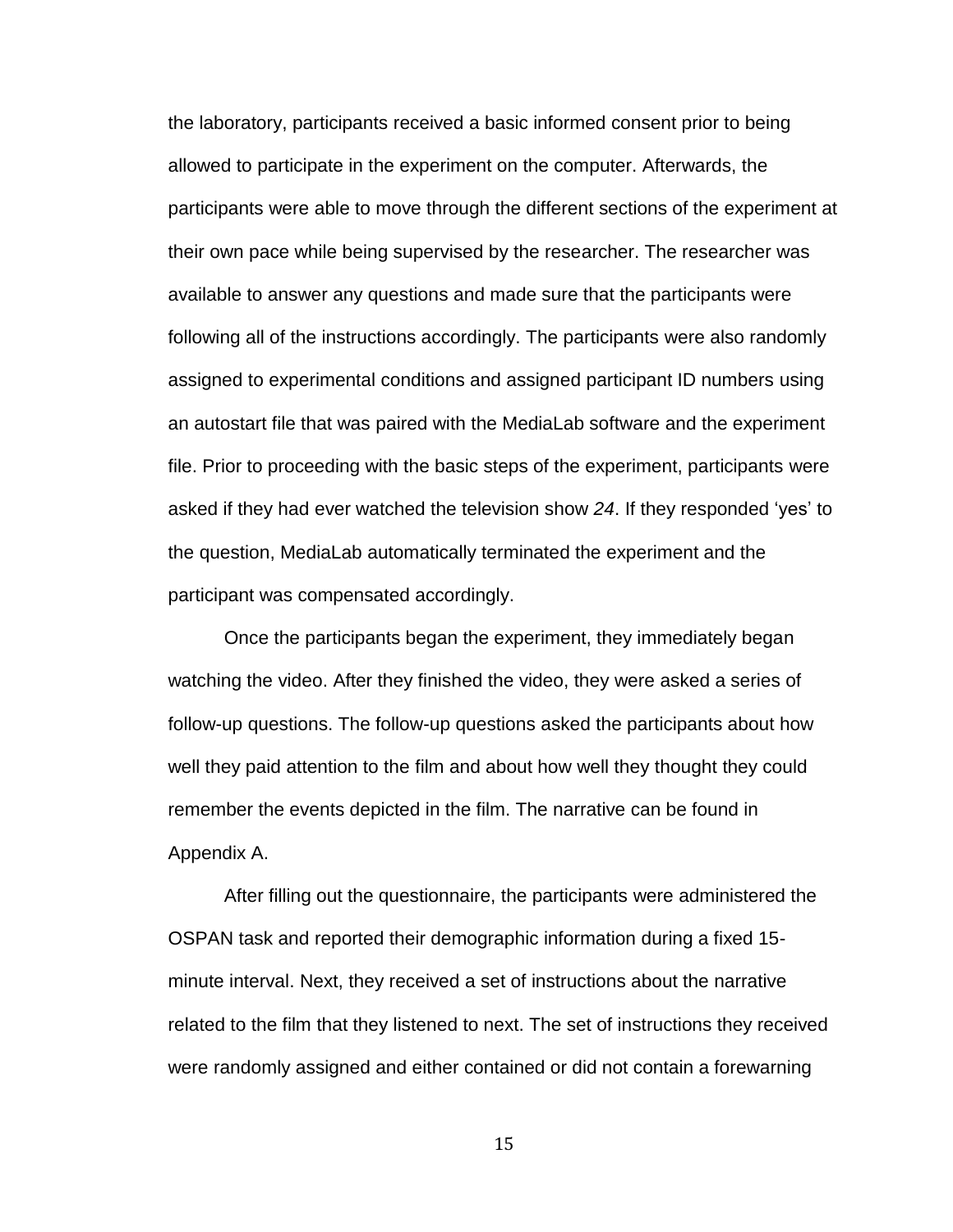the laboratory, participants received a basic informed consent prior to being allowed to participate in the experiment on the computer. Afterwards, the participants were able to move through the different sections of the experiment at their own pace while being supervised by the researcher. The researcher was available to answer any questions and made sure that the participants were following all of the instructions accordingly. The participants were also randomly assigned to experimental conditions and assigned participant ID numbers using an autostart file that was paired with the MediaLab software and the experiment file. Prior to proceeding with the basic steps of the experiment, participants were asked if they had ever watched the television show *24*. If they responded 'yes' to the question, MediaLab automatically terminated the experiment and the participant was compensated accordingly.

Once the participants began the experiment, they immediately began watching the video. After they finished the video, they were asked a series of follow-up questions. The follow-up questions asked the participants about how well they paid attention to the film and about how well they thought they could remember the events depicted in the film. The narrative can be found in Appendix A.

After filling out the questionnaire, the participants were administered the OSPAN task and reported their demographic information during a fixed 15 minute interval. Next, they received a set of instructions about the narrative related to the film that they listened to next. The set of instructions they received were randomly assigned and either contained or did not contain a forewarning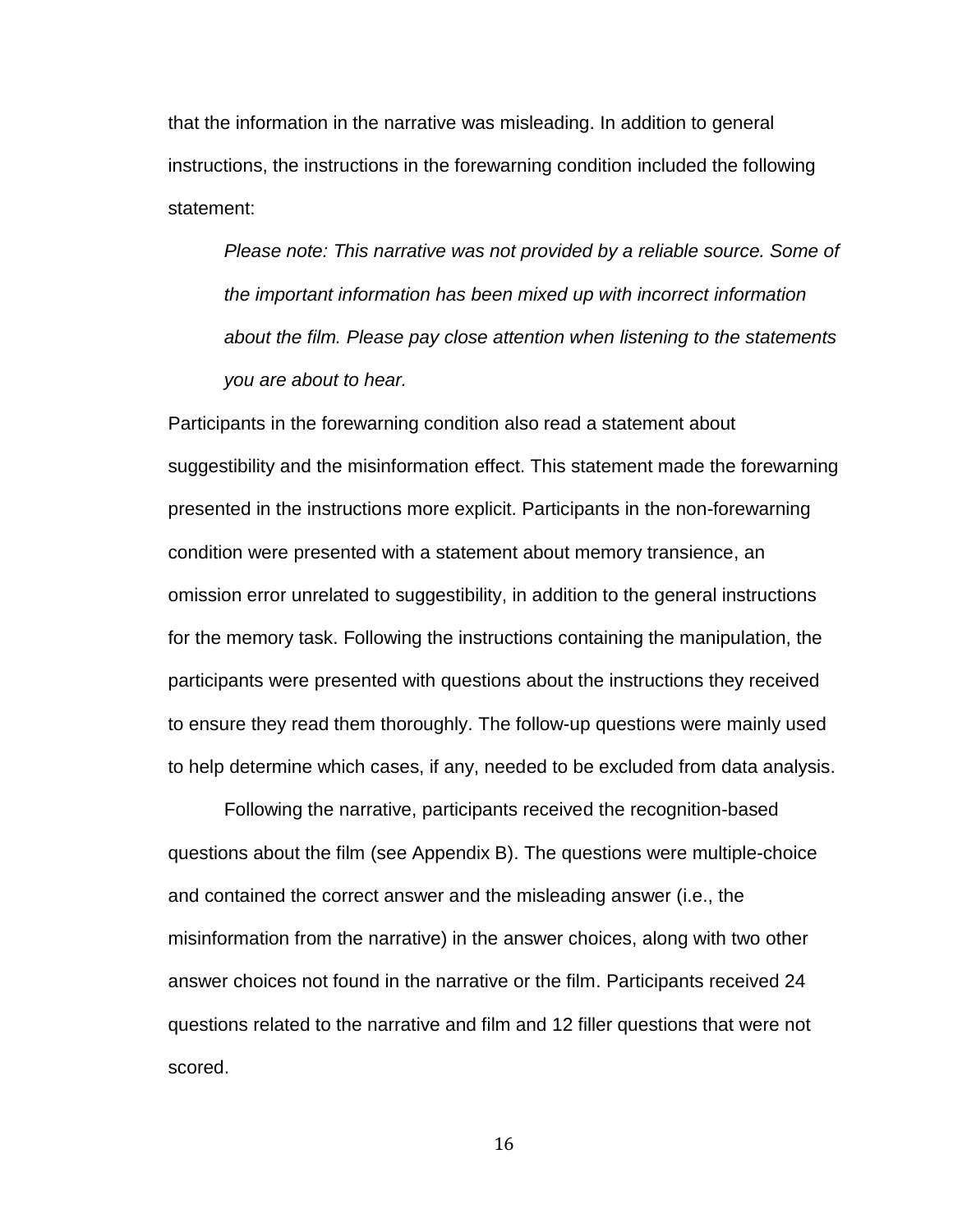that the information in the narrative was misleading. In addition to general instructions, the instructions in the forewarning condition included the following statement:

*Please note: This narrative was not provided by a reliable source. Some of the important information has been mixed up with incorrect information about the film. Please pay close attention when listening to the statements you are about to hear.*

Participants in the forewarning condition also read a statement about suggestibility and the misinformation effect. This statement made the forewarning presented in the instructions more explicit. Participants in the non-forewarning condition were presented with a statement about memory transience, an omission error unrelated to suggestibility, in addition to the general instructions for the memory task. Following the instructions containing the manipulation, the participants were presented with questions about the instructions they received to ensure they read them thoroughly. The follow-up questions were mainly used to help determine which cases, if any, needed to be excluded from data analysis.

Following the narrative, participants received the recognition-based questions about the film (see Appendix B). The questions were multiple-choice and contained the correct answer and the misleading answer (i.e., the misinformation from the narrative) in the answer choices, along with two other answer choices not found in the narrative or the film. Participants received 24 questions related to the narrative and film and 12 filler questions that were not scored.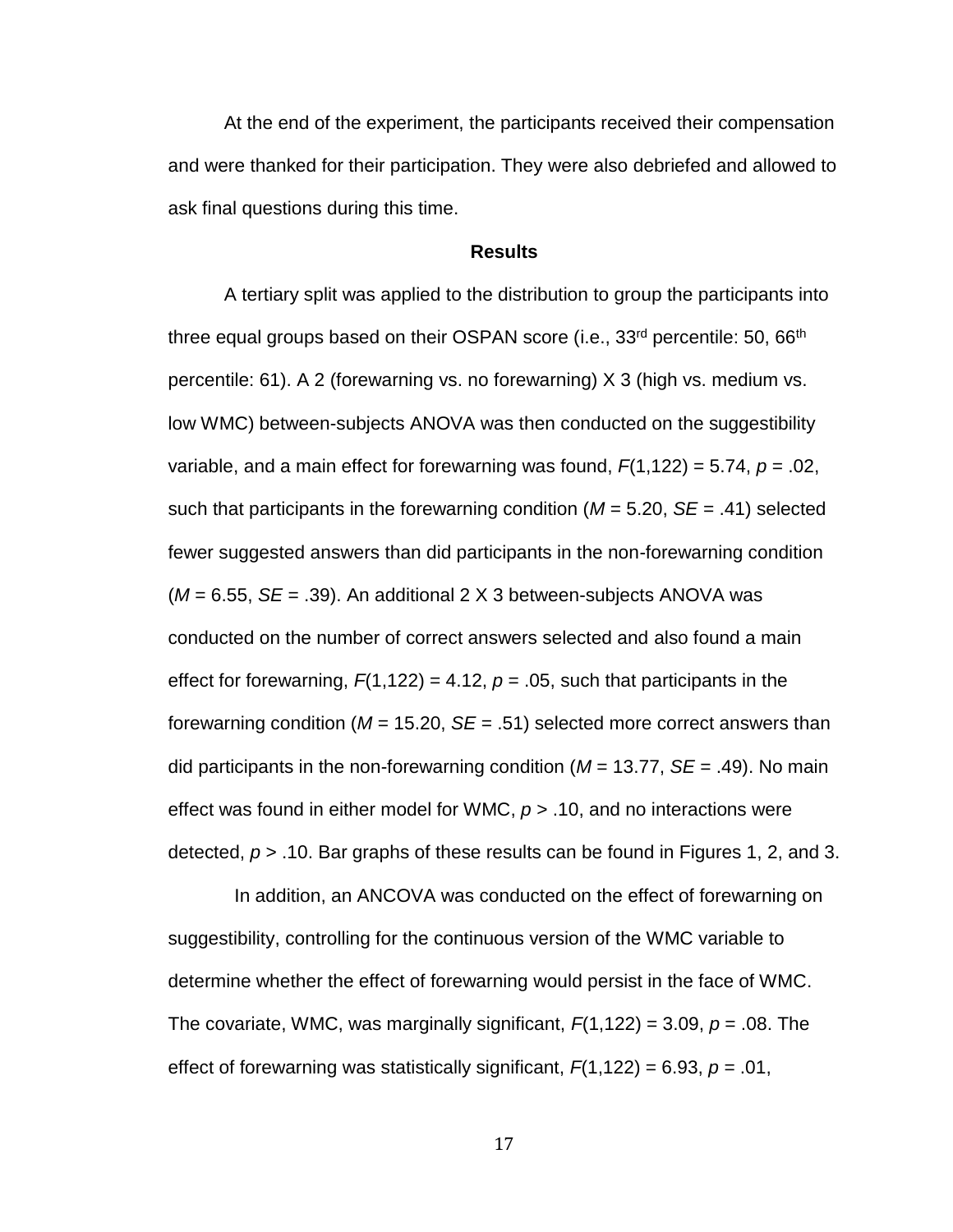At the end of the experiment, the participants received their compensation and were thanked for their participation. They were also debriefed and allowed to ask final questions during this time.

#### **Results**

<span id="page-23-0"></span>A tertiary split was applied to the distribution to group the participants into three equal groups based on their OSPAN score (i.e., 33<sup>rd</sup> percentile: 50, 66<sup>th</sup> percentile: 61). A 2 (forewarning vs. no forewarning) X 3 (high vs. medium vs. low WMC) between-subjects ANOVA was then conducted on the suggestibility variable, and a main effect for forewarning was found, *F*(1,122) = 5.74, *p* = .02, such that participants in the forewarning condition (*M* = 5.20, *SE* = .41) selected fewer suggested answers than did participants in the non-forewarning condition (*M* = 6.55, *SE* = .39). An additional 2 X 3 between-subjects ANOVA was conducted on the number of correct answers selected and also found a main effect for forewarning,  $F(1,122) = 4.12$ ,  $p = .05$ , such that participants in the forewarning condition (*M* = 15.20, *SE* = .51) selected more correct answers than did participants in the non-forewarning condition (*M* = 13.77, *SE* = .49). No main effect was found in either model for WMC, *p* > .10, and no interactions were detected, *p* > .10. Bar graphs of these results can be found in Figures 1, 2, and 3.

 In addition, an ANCOVA was conducted on the effect of forewarning on suggestibility, controlling for the continuous version of the WMC variable to determine whether the effect of forewarning would persist in the face of WMC. The covariate, WMC, was marginally significant,  $F(1,122) = 3.09$ ,  $p = .08$ . The effect of forewarning was statistically significant,  $F(1,122) = 6.93$ ,  $p = .01$ ,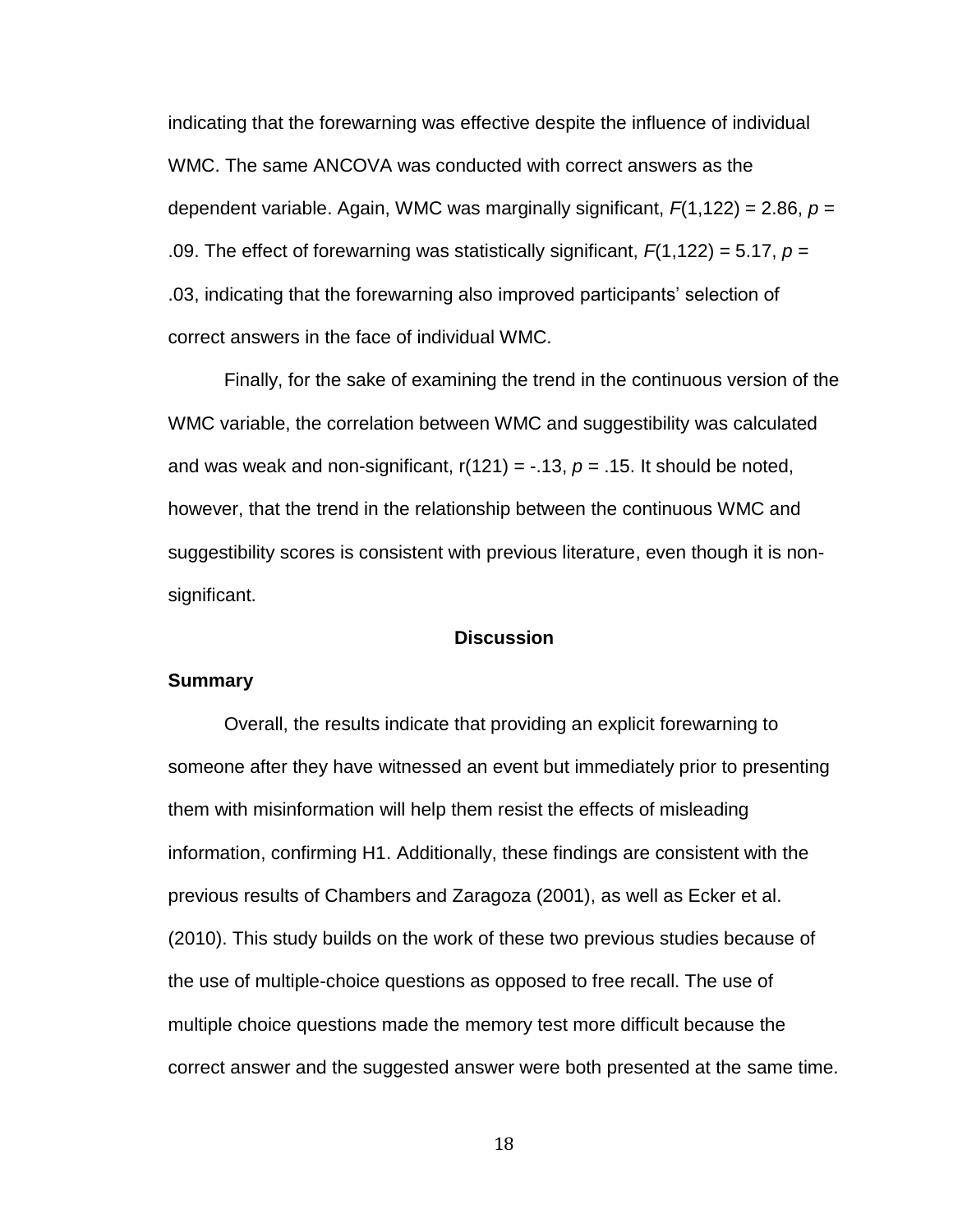indicating that the forewarning was effective despite the influence of individual WMC. The same ANCOVA was conducted with correct answers as the dependent variable. Again, WMC was marginally significant, *F*(1,122) = 2.86, *p* = .09. The effect of forewarning was statistically significant, *F*(1,122) = 5.17, *p* = .03, indicating that the forewarning also improved participants' selection of correct answers in the face of individual WMC.

Finally, for the sake of examining the trend in the continuous version of the WMC variable, the correlation between WMC and suggestibility was calculated and was weak and non-significant,  $r(121) = -0.13$ ,  $p = 0.15$ . It should be noted, however, that the trend in the relationship between the continuous WMC and suggestibility scores is consistent with previous literature, even though it is nonsignificant.

#### **Discussion**

#### <span id="page-24-0"></span>**Summary**

Overall, the results indicate that providing an explicit forewarning to someone after they have witnessed an event but immediately prior to presenting them with misinformation will help them resist the effects of misleading information, confirming H1. Additionally, these findings are consistent with the previous results of Chambers and Zaragoza (2001), as well as Ecker et al. (2010). This study builds on the work of these two previous studies because of the use of multiple-choice questions as opposed to free recall. The use of multiple choice questions made the memory test more difficult because the correct answer and the suggested answer were both presented at the same time.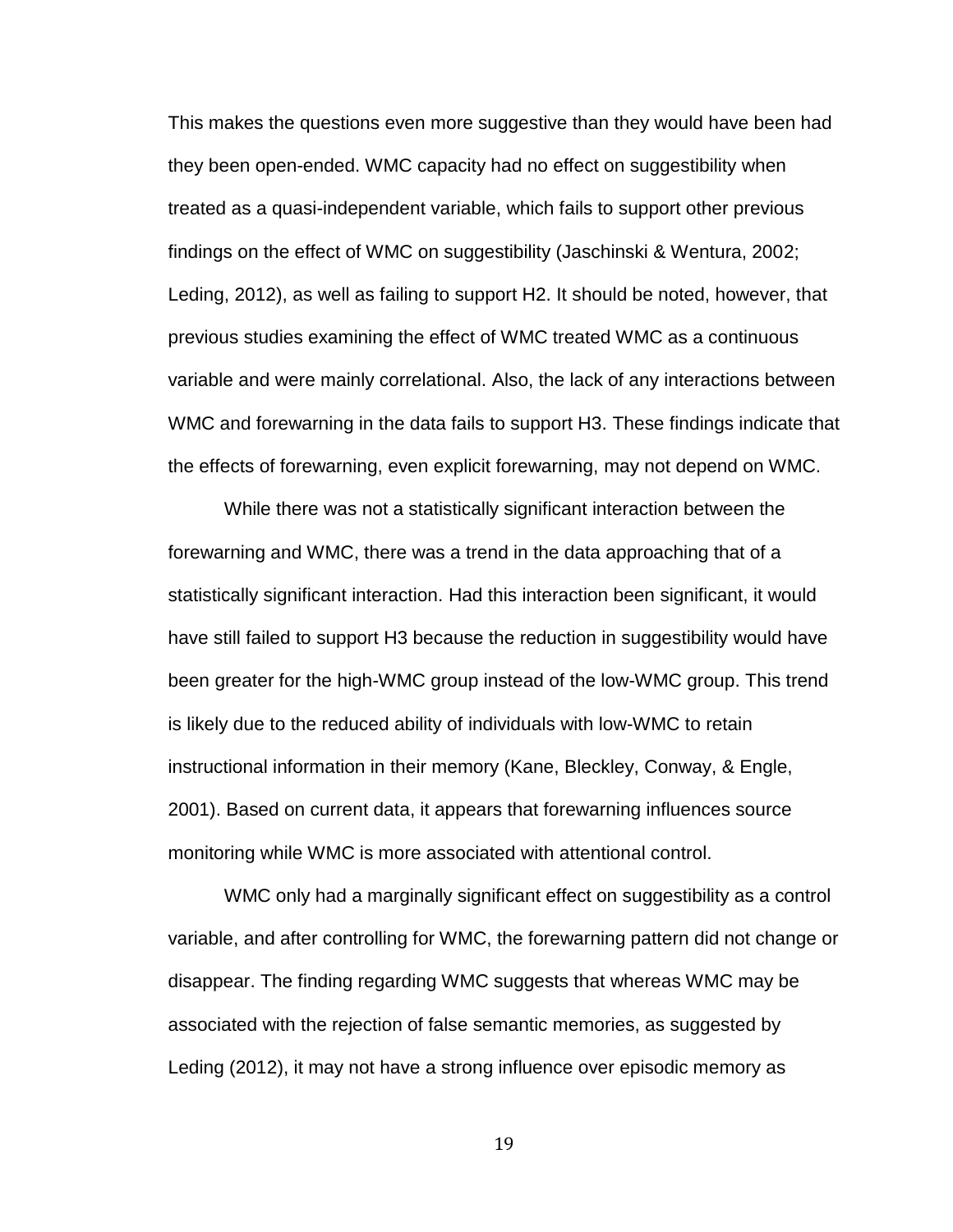This makes the questions even more suggestive than they would have been had they been open-ended. WMC capacity had no effect on suggestibility when treated as a quasi-independent variable, which fails to support other previous findings on the effect of WMC on suggestibility (Jaschinski & Wentura, 2002; Leding, 2012), as well as failing to support H2. It should be noted, however, that previous studies examining the effect of WMC treated WMC as a continuous variable and were mainly correlational. Also, the lack of any interactions between WMC and forewarning in the data fails to support H3. These findings indicate that the effects of forewarning, even explicit forewarning, may not depend on WMC.

While there was not a statistically significant interaction between the forewarning and WMC, there was a trend in the data approaching that of a statistically significant interaction. Had this interaction been significant, it would have still failed to support H3 because the reduction in suggestibility would have been greater for the high-WMC group instead of the low-WMC group. This trend is likely due to the reduced ability of individuals with low-WMC to retain instructional information in their memory (Kane, Bleckley, Conway, & Engle, 2001). Based on current data, it appears that forewarning influences source monitoring while WMC is more associated with attentional control.

WMC only had a marginally significant effect on suggestibility as a control variable, and after controlling for WMC, the forewarning pattern did not change or disappear. The finding regarding WMC suggests that whereas WMC may be associated with the rejection of false semantic memories, as suggested by Leding (2012), it may not have a strong influence over episodic memory as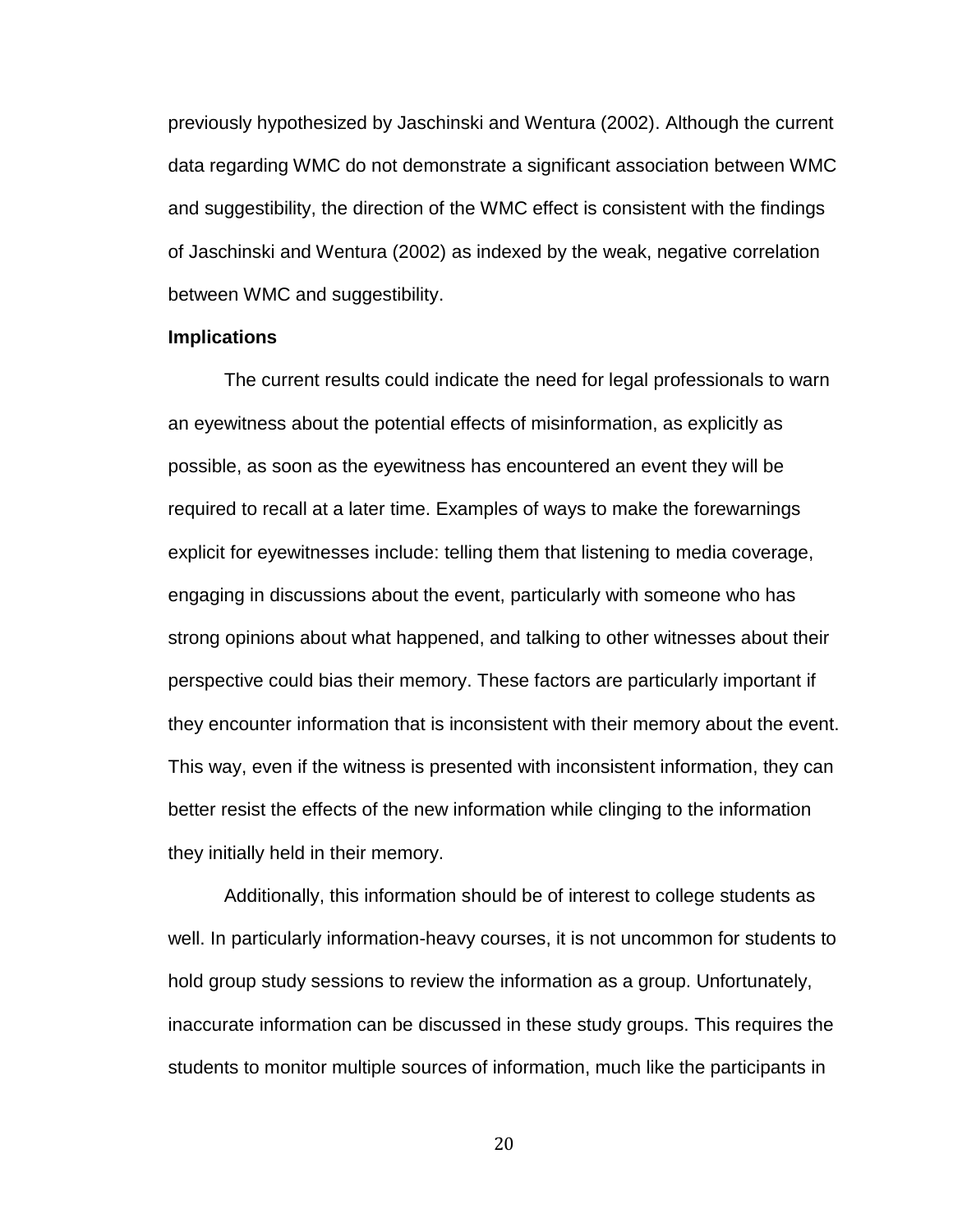previously hypothesized by Jaschinski and Wentura (2002). Although the current data regarding WMC do not demonstrate a significant association between WMC and suggestibility, the direction of the WMC effect is consistent with the findings of Jaschinski and Wentura (2002) as indexed by the weak, negative correlation between WMC and suggestibility.

#### **Implications**

The current results could indicate the need for legal professionals to warn an eyewitness about the potential effects of misinformation, as explicitly as possible, as soon as the eyewitness has encountered an event they will be required to recall at a later time. Examples of ways to make the forewarnings explicit for eyewitnesses include: telling them that listening to media coverage, engaging in discussions about the event, particularly with someone who has strong opinions about what happened, and talking to other witnesses about their perspective could bias their memory. These factors are particularly important if they encounter information that is inconsistent with their memory about the event. This way, even if the witness is presented with inconsistent information, they can better resist the effects of the new information while clinging to the information they initially held in their memory.

Additionally, this information should be of interest to college students as well. In particularly information-heavy courses, it is not uncommon for students to hold group study sessions to review the information as a group. Unfortunately, inaccurate information can be discussed in these study groups. This requires the students to monitor multiple sources of information, much like the participants in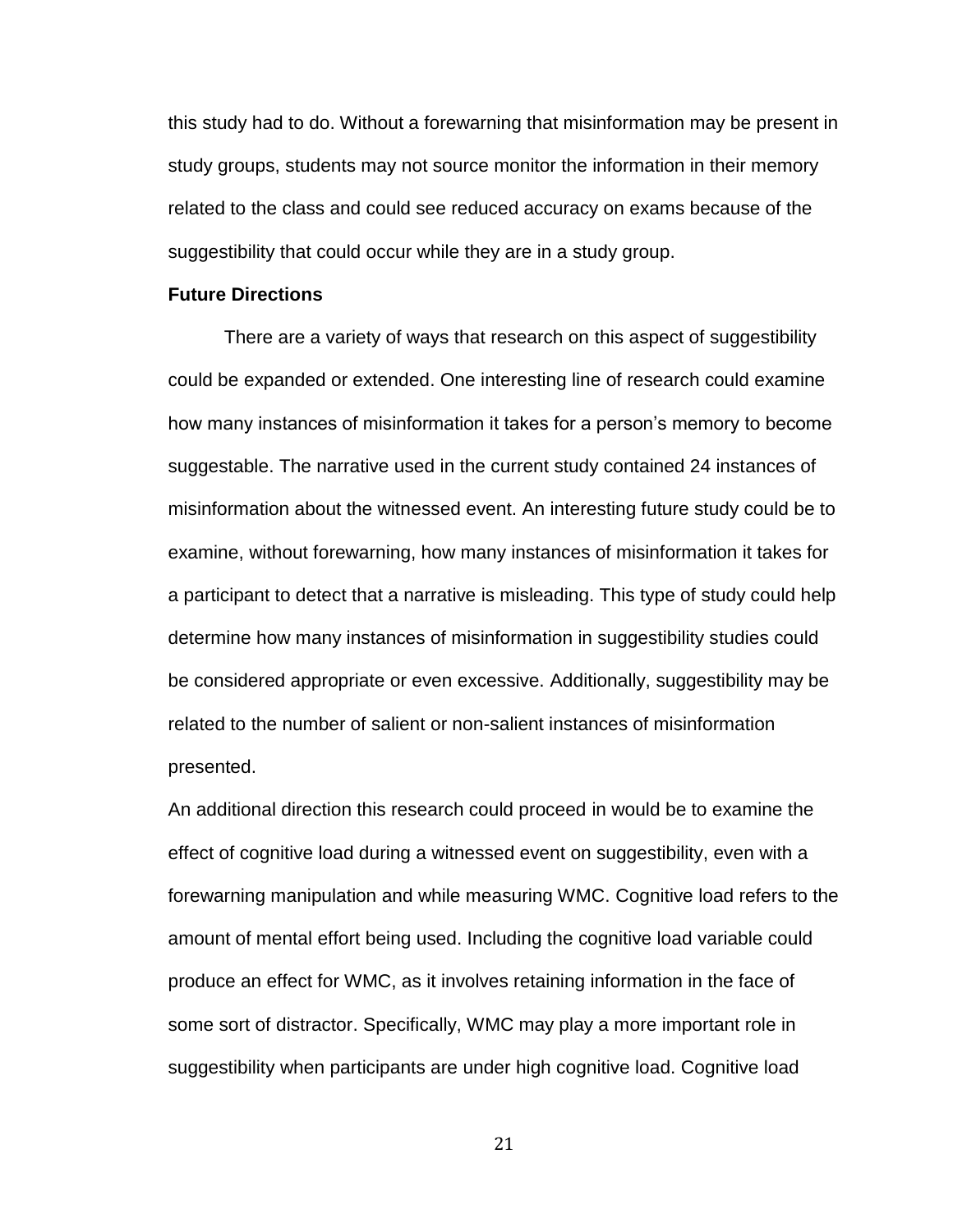this study had to do. Without a forewarning that misinformation may be present in study groups, students may not source monitor the information in their memory related to the class and could see reduced accuracy on exams because of the suggestibility that could occur while they are in a study group.

#### **Future Directions**

There are a variety of ways that research on this aspect of suggestibility could be expanded or extended. One interesting line of research could examine how many instances of misinformation it takes for a person's memory to become suggestable. The narrative used in the current study contained 24 instances of misinformation about the witnessed event. An interesting future study could be to examine, without forewarning, how many instances of misinformation it takes for a participant to detect that a narrative is misleading. This type of study could help determine how many instances of misinformation in suggestibility studies could be considered appropriate or even excessive. Additionally, suggestibility may be related to the number of salient or non-salient instances of misinformation presented.

An additional direction this research could proceed in would be to examine the effect of cognitive load during a witnessed event on suggestibility, even with a forewarning manipulation and while measuring WMC. Cognitive load refers to the amount of mental effort being used. Including the cognitive load variable could produce an effect for WMC, as it involves retaining information in the face of some sort of distractor. Specifically, WMC may play a more important role in suggestibility when participants are under high cognitive load. Cognitive load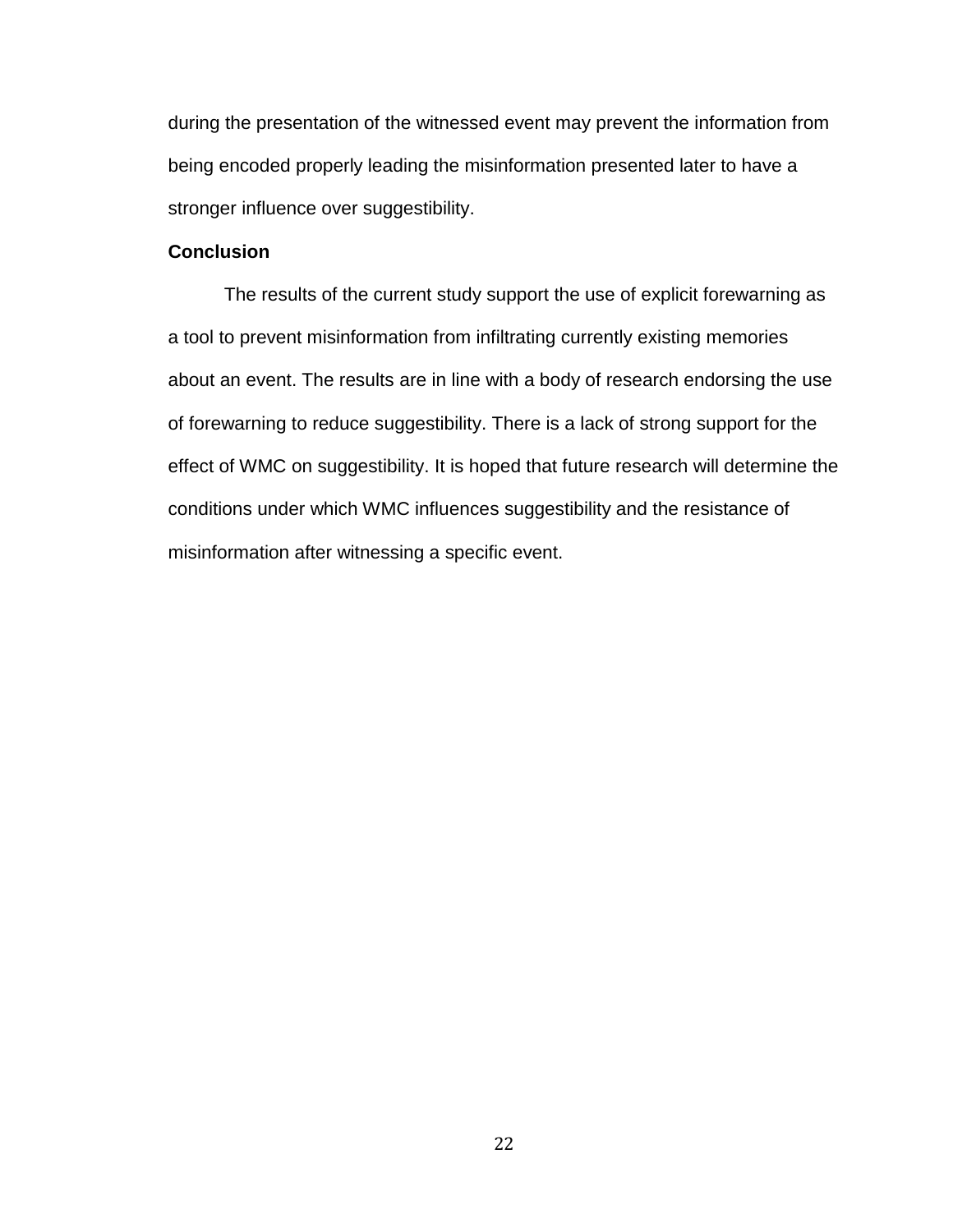during the presentation of the witnessed event may prevent the information from being encoded properly leading the misinformation presented later to have a stronger influence over suggestibility.

#### **Conclusion**

The results of the current study support the use of explicit forewarning as a tool to prevent misinformation from infiltrating currently existing memories about an event. The results are in line with a body of research endorsing the use of forewarning to reduce suggestibility. There is a lack of strong support for the effect of WMC on suggestibility. It is hoped that future research will determine the conditions under which WMC influences suggestibility and the resistance of misinformation after witnessing a specific event.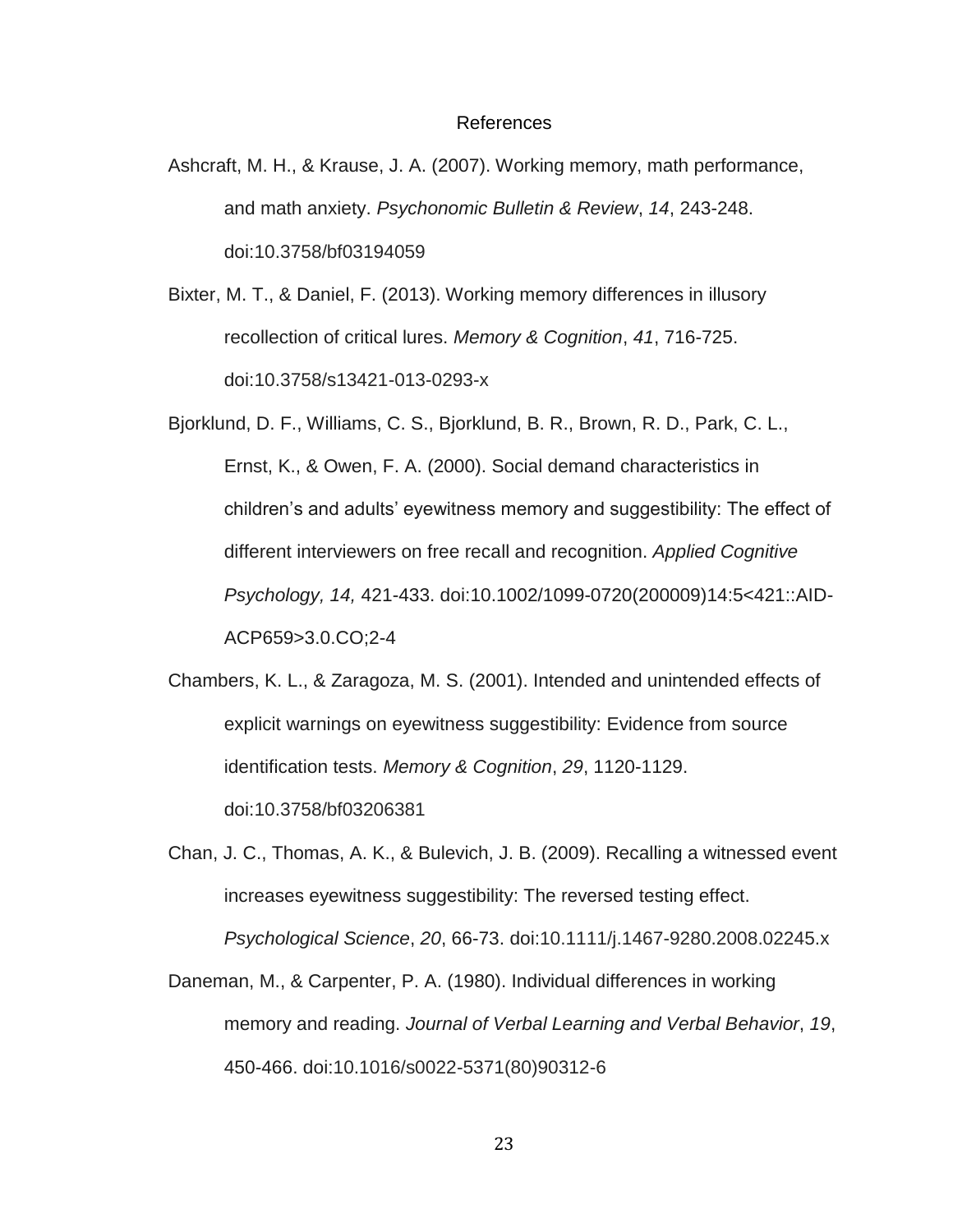#### References

- <span id="page-29-0"></span>Ashcraft, M. H., & Krause, J. A. (2007). Working memory, math performance, and math anxiety. *Psychonomic Bulletin & Review*, *14*, 243-248. doi:10.3758/bf03194059
- Bixter, M. T., & Daniel, F. (2013). Working memory differences in illusory recollection of critical lures. *Memory & Cognition*, *41*, 716-725. doi:10.3758/s13421-013-0293-x
- Bjorklund, D. F., Williams, C. S., Bjorklund, B. R., Brown, R. D., Park, C. L., Ernst, K., & Owen, F. A. (2000). Social demand characteristics in children's and adults' eyewitness memory and suggestibility: The effect of different interviewers on free recall and recognition. *Applied Cognitive Psychology, 14,* 421-433. doi:10.1002/1099-0720(200009)14:5<421::AID-ACP659>3.0.CO;2-4
- Chambers, K. L., & Zaragoza, M. S. (2001). Intended and unintended effects of explicit warnings on eyewitness suggestibility: Evidence from source identification tests. *Memory & Cognition*, *29*, 1120-1129. doi:10.3758/bf03206381
- Chan, J. C., Thomas, A. K., & Bulevich, J. B. (2009). Recalling a witnessed event increases eyewitness suggestibility: The reversed testing effect. *Psychological Science*, *20*, 66-73. doi:10.1111/j.1467-9280.2008.02245.x
- Daneman, M., & Carpenter, P. A. (1980). Individual differences in working memory and reading. *Journal of Verbal Learning and Verbal Behavior*, *19*, 450-466. doi:10.1016/s0022-5371(80)90312-6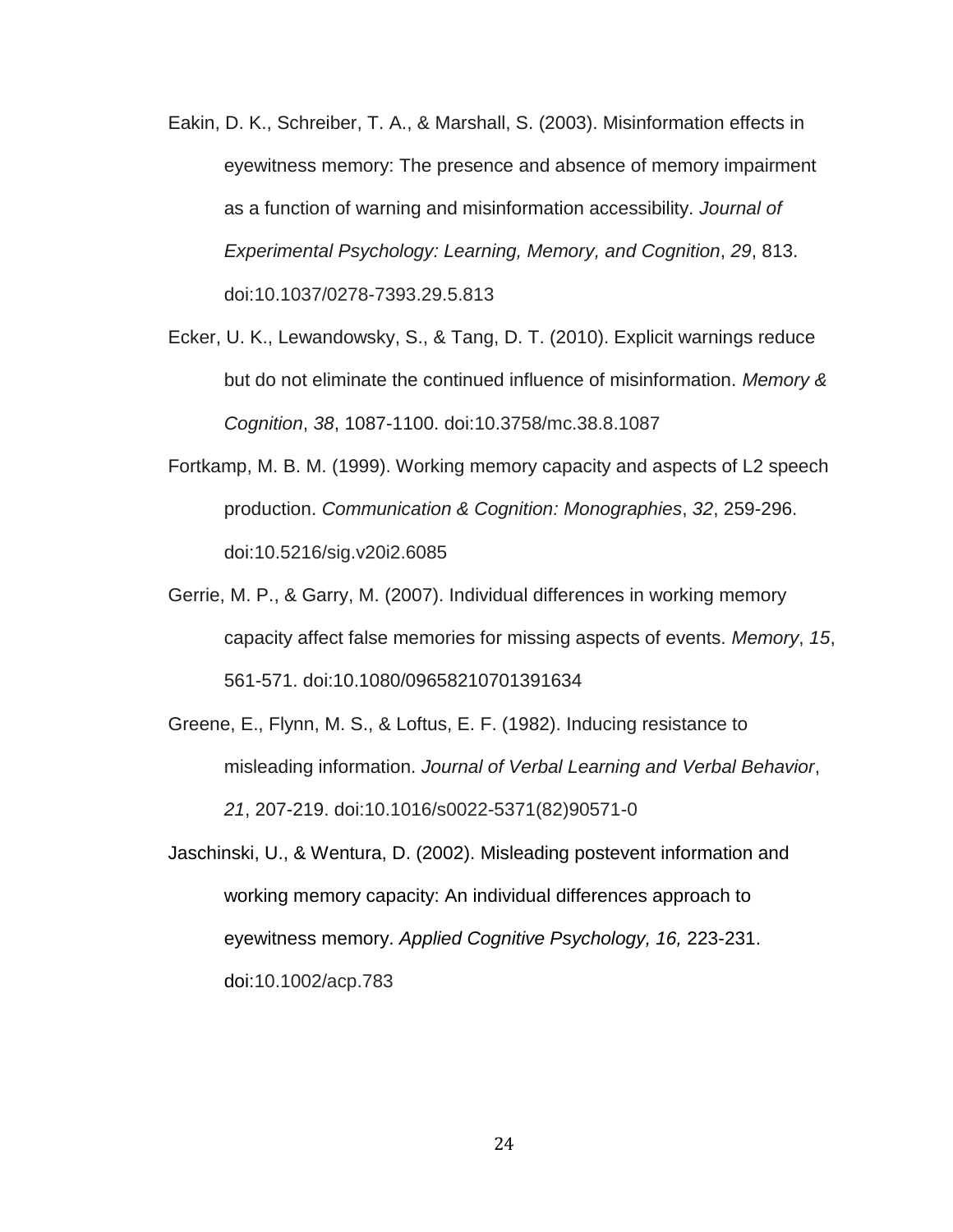- Eakin, D. K., Schreiber, T. A., & Marshall, S. (2003). Misinformation effects in eyewitness memory: The presence and absence of memory impairment as a function of warning and misinformation accessibility. *Journal of Experimental Psychology: Learning, Memory, and Cognition*, *29*, 813. doi:10.1037/0278-7393.29.5.813
- Ecker, U. K., Lewandowsky, S., & Tang, D. T. (2010). Explicit warnings reduce but do not eliminate the continued influence of misinformation. *Memory & Cognition*, *38*, 1087-1100. doi:10.3758/mc.38.8.1087
- Fortkamp, M. B. M. (1999). Working memory capacity and aspects of L2 speech production. *Communication & Cognition: Monographies*, *32*, 259-296. doi:10.5216/sig.v20i2.6085
- Gerrie, M. P., & Garry, M. (2007). Individual differences in working memory capacity affect false memories for missing aspects of events. *Memory*, *15*, 561-571. doi:10.1080/09658210701391634
- Greene, E., Flynn, M. S., & Loftus, E. F. (1982). Inducing resistance to misleading information. *Journal of Verbal Learning and Verbal Behavior*, *21*, 207-219. doi:10.1016/s0022-5371(82)90571-0
- Jaschinski, U., & Wentura, D. (2002). Misleading postevent information and working memory capacity: An individual differences approach to eyewitness memory. *Applied Cognitive Psychology, 16,* 223-231. doi:10.1002/acp.783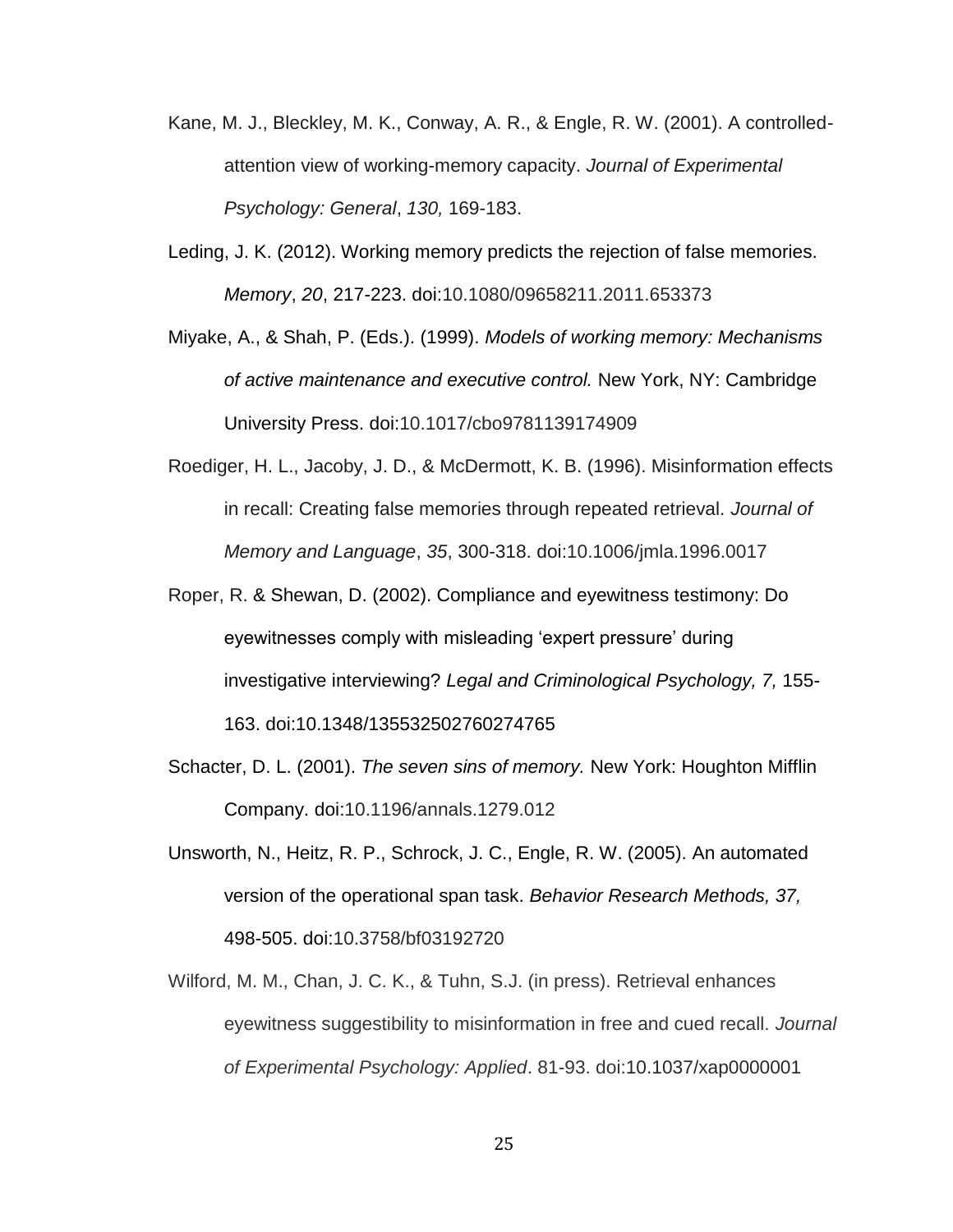- Kane, M. J., Bleckley, M. K., Conway, A. R., & Engle, R. W. (2001). A controlledattention view of working-memory capacity. *Journal of Experimental Psychology: General*, *130,* 169-183.
- Leding, J. K. (2012). Working memory predicts the rejection of false memories. *Memory*, *20*, 217-223. doi:10.1080/09658211.2011.653373
- Miyake, A., & Shah, P. (Eds.). (1999). *Models of working memory: Mechanisms of active maintenance and executive control.* New York, NY: Cambridge University Press. doi:10.1017/cbo9781139174909
- Roediger, H. L., Jacoby, J. D., & McDermott, K. B. (1996). Misinformation effects in recall: Creating false memories through repeated retrieval. *Journal of Memory and Language*, *35*, 300-318. doi:10.1006/jmla.1996.0017
- Roper, R. & Shewan, D. (2002). Compliance and eyewitness testimony: Do eyewitnesses comply with misleading 'expert pressure' during investigative interviewing? *Legal and Criminological Psychology, 7,* 155- 163. doi:10.1348/135532502760274765
- Schacter, D. L. (2001). *The seven sins of memory.* New York: Houghton Mifflin Company. doi:10.1196/annals.1279.012
- Unsworth, N., Heitz, R. P., Schrock, J. C., Engle, R. W. (2005). An automated version of the operational span task. *Behavior Research Methods, 37,* 498-505. doi:10.3758/bf03192720
- Wilford, M. M., Chan, J. C. K., & Tuhn, S.J. (in press). Retrieval enhances eyewitness suggestibility to misinformation in free and cued recall. *Journal of Experimental Psychology: Applied*. 81-93. doi:10.1037/xap0000001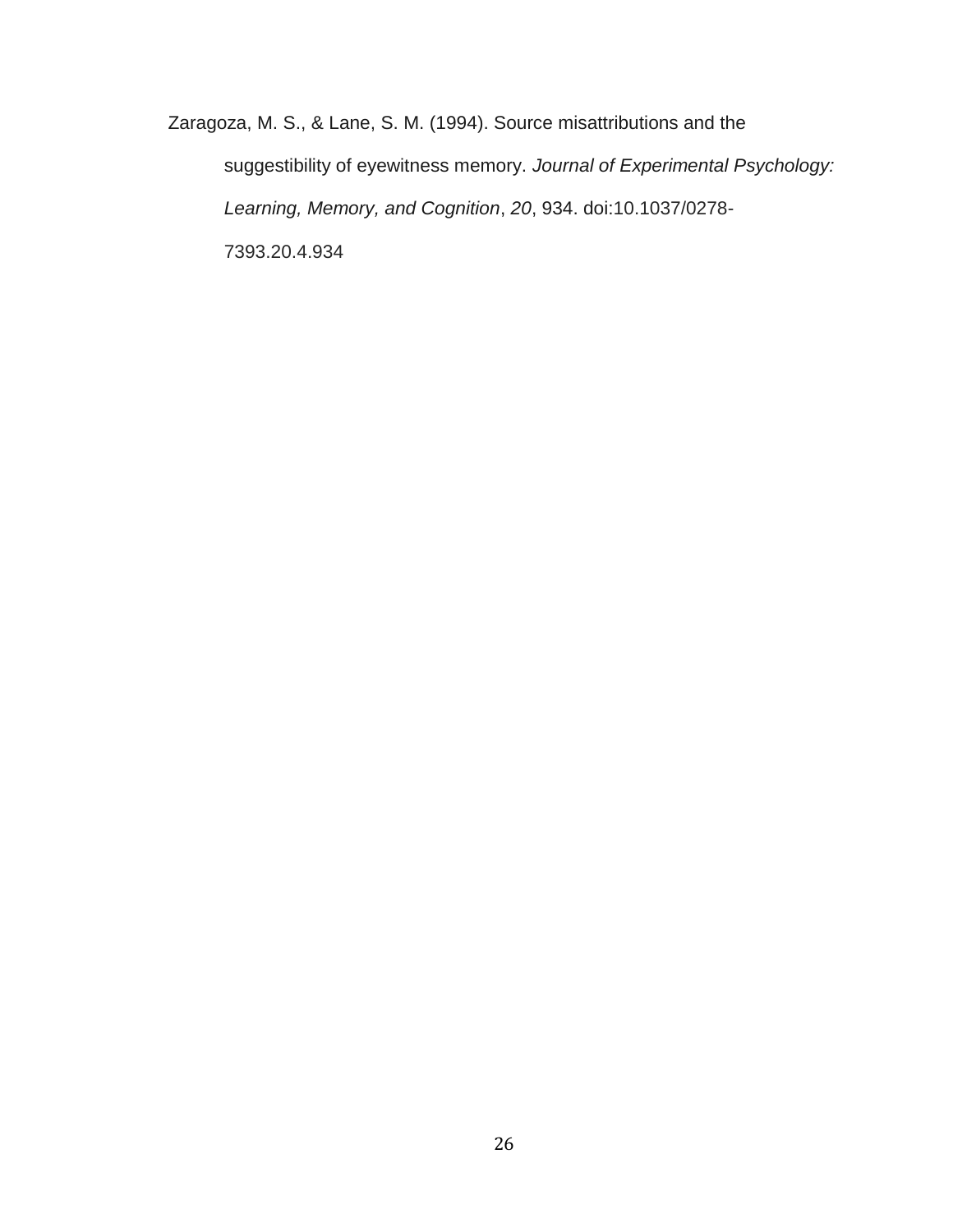Zaragoza, M. S., & Lane, S. M. (1994). Source misattributions and the suggestibility of eyewitness memory. *Journal of Experimental Psychology: Learning, Memory, and Cognition*, *20*, 934. doi:10.1037/0278- 7393.20.4.934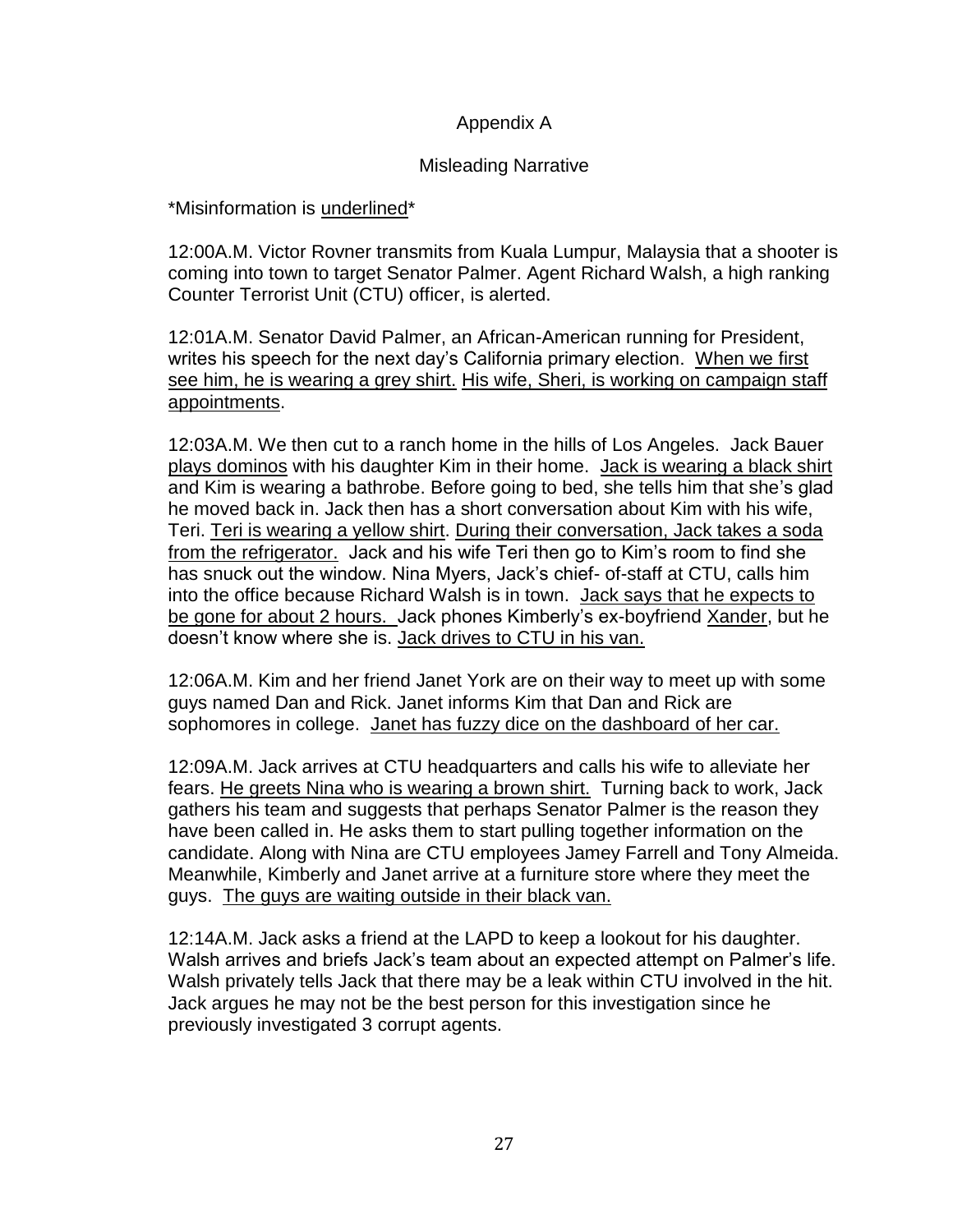### Appendix A

### Misleading Narrative

<span id="page-33-0"></span>\*Misinformation is underlined\*

12:00A.M. Victor Rovner transmits from Kuala Lumpur, Malaysia that a shooter is coming into town to target Senator Palmer. Agent Richard Walsh, a high ranking Counter Terrorist Unit (CTU) officer, is alerted.

12:01A.M. Senator David Palmer, an African-American running for President, writes his speech for the next day's California primary election. When we first see him, he is wearing a grey shirt. His wife, Sheri, is working on campaign staff appointments.

12:03A.M. We then cut to a ranch home in the hills of Los Angeles. Jack Bauer plays dominos with his daughter Kim in their home. Jack is wearing a black shirt and Kim is wearing a bathrobe. Before going to bed, she tells him that she's glad he moved back in. Jack then has a short conversation about Kim with his wife, Teri. Teri is wearing a yellow shirt. During their conversation, Jack takes a soda from the refrigerator. Jack and his wife Teri then go to Kim's room to find she has snuck out the window. Nina Myers, Jack's chief- of-staff at CTU, calls him into the office because Richard Walsh is in town. Jack says that he expects to be gone for about 2 hours. Jack phones Kimberly's ex-boyfriend Xander, but he doesn't know where she is. Jack drives to CTU in his van.

12:06A.M. Kim and her friend Janet York are on their way to meet up with some guys named Dan and Rick. Janet informs Kim that Dan and Rick are sophomores in college. Janet has fuzzy dice on the dashboard of her car.

12:09A.M. Jack arrives at CTU headquarters and calls his wife to alleviate her fears. He greets Nina who is wearing a brown shirt. Turning back to work, Jack gathers his team and suggests that perhaps Senator Palmer is the reason they have been called in. He asks them to start pulling together information on the candidate. Along with Nina are CTU employees Jamey Farrell and Tony Almeida. Meanwhile, Kimberly and Janet arrive at a furniture store where they meet the guys. The guys are waiting outside in their black van.

12:14A.M. Jack asks a friend at the LAPD to keep a lookout for his daughter. Walsh arrives and briefs Jack's team about an expected attempt on Palmer's life. Walsh privately tells Jack that there may be a leak within CTU involved in the hit. Jack argues he may not be the best person for this investigation since he previously investigated 3 corrupt agents.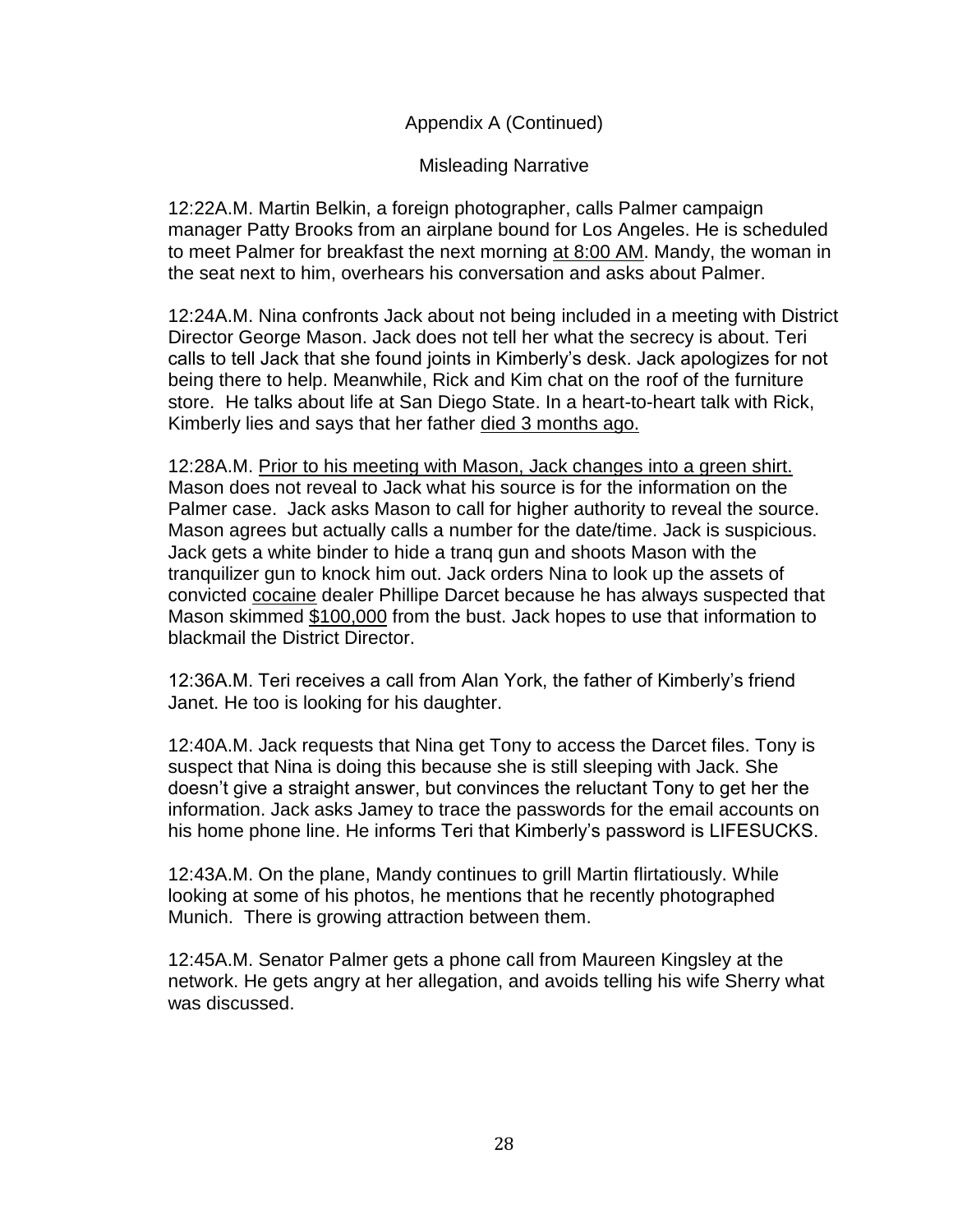Appendix A (Continued)

Misleading Narrative

12:22A.M. Martin Belkin, a foreign photographer, calls Palmer campaign manager Patty Brooks from an airplane bound for Los Angeles. He is scheduled to meet Palmer for breakfast the next morning at 8:00 AM. Mandy, the woman in the seat next to him, overhears his conversation and asks about Palmer.

12:24A.M. Nina confronts Jack about not being included in a meeting with District Director George Mason. Jack does not tell her what the secrecy is about. Teri calls to tell Jack that she found joints in Kimberly's desk. Jack apologizes for not being there to help. Meanwhile, Rick and Kim chat on the roof of the furniture store. He talks about life at San Diego State. In a heart-to-heart talk with Rick, Kimberly lies and says that her father died 3 months ago.

12:28A.M. Prior to his meeting with Mason, Jack changes into a green shirt. Mason does not reveal to Jack what his source is for the information on the Palmer case. Jack asks Mason to call for higher authority to reveal the source. Mason agrees but actually calls a number for the date/time. Jack is suspicious. Jack gets a white binder to hide a tranq gun and shoots Mason with the tranquilizer gun to knock him out. Jack orders Nina to look up the assets of convicted cocaine dealer Phillipe Darcet because he has always suspected that Mason skimmed \$100,000 from the bust. Jack hopes to use that information to blackmail the District Director.

12:36A.M. Teri receives a call from Alan York, the father of Kimberly's friend Janet. He too is looking for his daughter.

12:40A.M. Jack requests that Nina get Tony to access the Darcet files. Tony is suspect that Nina is doing this because she is still sleeping with Jack. She doesn't give a straight answer, but convinces the reluctant Tony to get her the information. Jack asks Jamey to trace the passwords for the email accounts on his home phone line. He informs Teri that Kimberly's password is LIFESUCKS.

12:43A.M. On the plane, Mandy continues to grill Martin flirtatiously. While looking at some of his photos, he mentions that he recently photographed Munich. There is growing attraction between them.

12:45A.M. Senator Palmer gets a phone call from Maureen Kingsley at the network. He gets angry at her allegation, and avoids telling his wife Sherry what was discussed.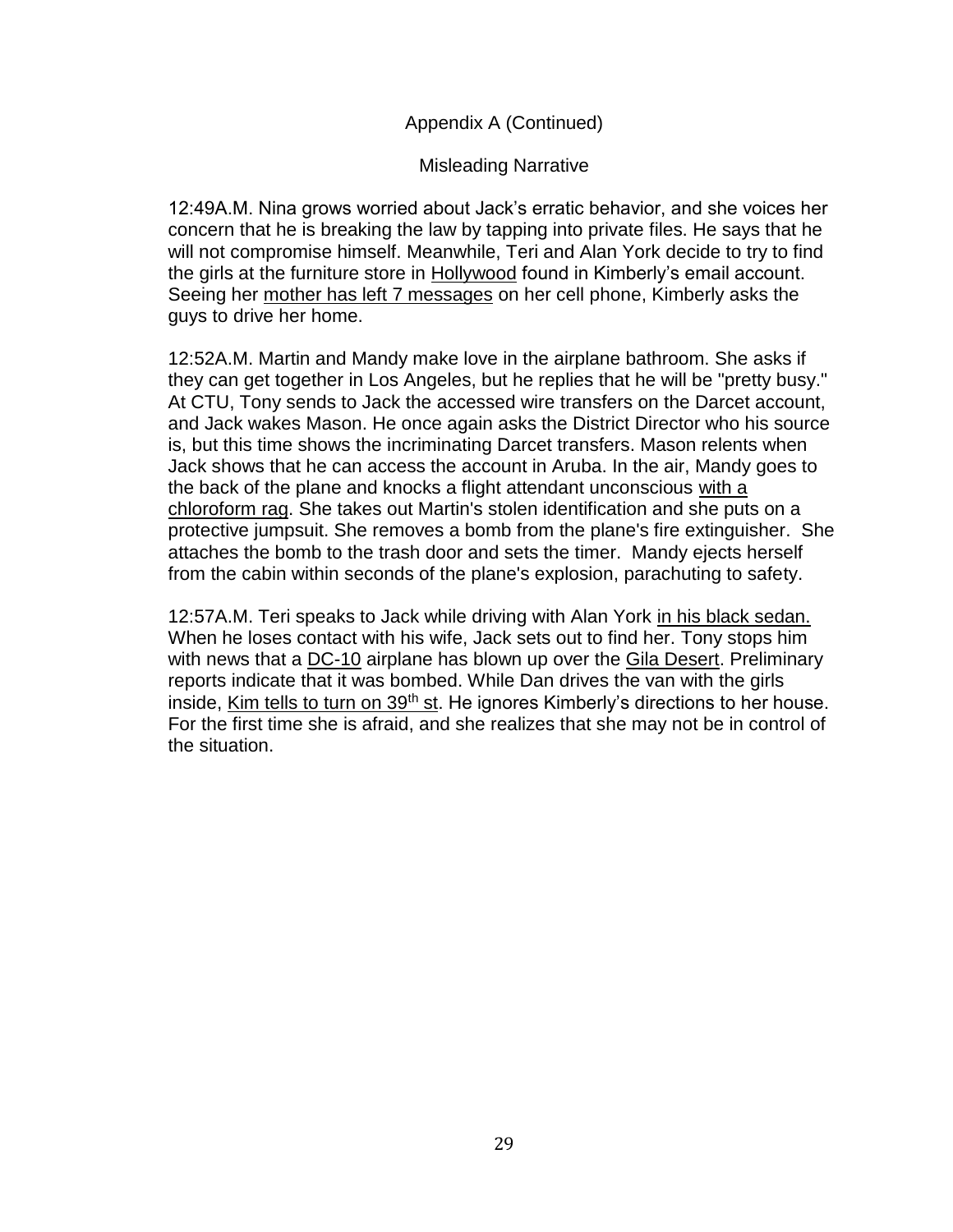### Appendix A (Continued)

### Misleading Narrative

12:49A.M. Nina grows worried about Jack's erratic behavior, and she voices her concern that he is breaking the law by tapping into private files. He says that he will not compromise himself. Meanwhile, Teri and Alan York decide to try to find the girls at the furniture store in Hollywood found in Kimberly's email account. Seeing her mother has left 7 messages on her cell phone, Kimberly asks the guys to drive her home.

12:52A.M. Martin and Mandy make love in the airplane bathroom. She asks if they can get together in Los Angeles, but he replies that he will be "pretty busy." At CTU, Tony sends to Jack the accessed wire transfers on the Darcet account, and Jack wakes Mason. He once again asks the District Director who his source is, but this time shows the incriminating Darcet transfers. Mason relents when Jack shows that he can access the account in Aruba. In the air, Mandy goes to the back of the plane and knocks a flight attendant unconscious with a chloroform rag. She takes out Martin's stolen identification and she puts on a protective jumpsuit. She removes a bomb from the plane's fire extinguisher. She attaches the bomb to the trash door and sets the timer. Mandy ejects herself from the cabin within seconds of the plane's explosion, parachuting to safety.

12:57A.M. Teri speaks to Jack while driving with Alan York in his black sedan. When he loses contact with his wife, Jack sets out to find her. Tony stops him with news that a DC-10 airplane has blown up over the Gila Desert. Preliminary reports indicate that it was bombed. While Dan drives the van with the girls inside, Kim tells to turn on 39<sup>th</sup> st. He ignores Kimberly's directions to her house. For the first time she is afraid, and she realizes that she may not be in control of the situation.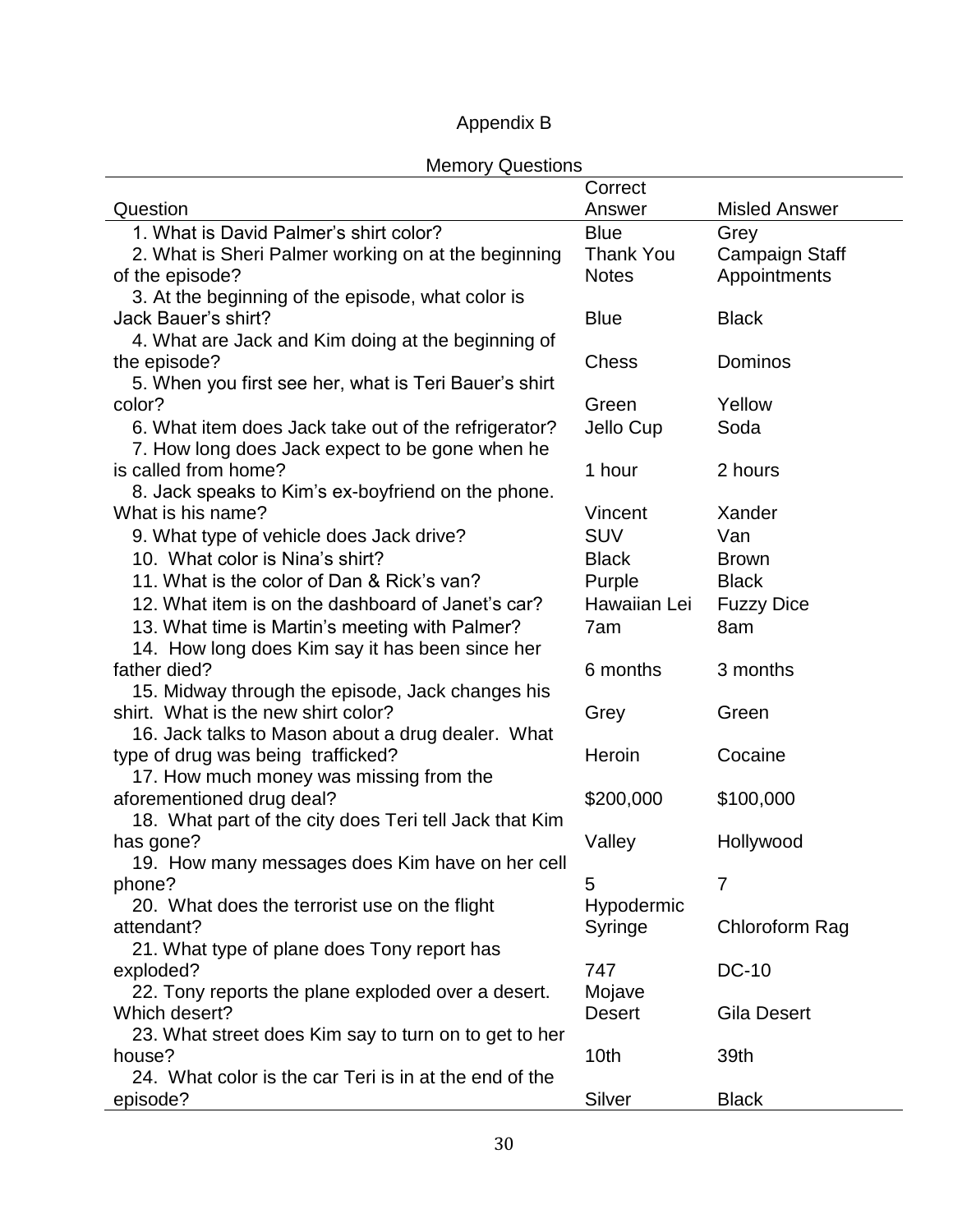## Appendix B

<span id="page-36-0"></span>

| <b>INICITIOLY QUESTIOLIS</b>                           | Correct          |                       |
|--------------------------------------------------------|------------------|-----------------------|
| Question                                               | Answer           | <b>Misled Answer</b>  |
| 1. What is David Palmer's shirt color?                 | <b>Blue</b>      | Grey                  |
| 2. What is Sheri Palmer working on at the beginning    | <b>Thank You</b> | <b>Campaign Staff</b> |
| of the episode?                                        | <b>Notes</b>     | Appointments          |
| 3. At the beginning of the episode, what color is      |                  |                       |
| Jack Bauer's shirt?                                    | <b>Blue</b>      | <b>Black</b>          |
| 4. What are Jack and Kim doing at the beginning of     |                  |                       |
| the episode?                                           | <b>Chess</b>     | Dominos               |
| 5. When you first see her, what is Teri Bauer's shirt  |                  |                       |
| color?                                                 | Green            | Yellow                |
| 6. What item does Jack take out of the refrigerator?   | Jello Cup        | Soda                  |
| 7. How long does Jack expect to be gone when he        |                  |                       |
| is called from home?                                   | 1 hour           | 2 hours               |
| 8. Jack speaks to Kim's ex-boyfriend on the phone.     |                  |                       |
| What is his name?                                      | Vincent          | Xander                |
| 9. What type of vehicle does Jack drive?               | <b>SUV</b>       | Van                   |
| 10. What color is Nina's shirt?                        | <b>Black</b>     | <b>Brown</b>          |
| 11. What is the color of Dan & Rick's van?             | Purple           | <b>Black</b>          |
| 12. What item is on the dashboard of Janet's car?      | Hawaiian Lei     | <b>Fuzzy Dice</b>     |
| 13. What time is Martin's meeting with Palmer?         | 7am              | 8am                   |
| 14. How long does Kim say it has been since her        |                  |                       |
| father died?                                           | 6 months         | 3 months              |
| 15. Midway through the episode, Jack changes his       |                  |                       |
| shirt. What is the new shirt color?                    | Grey             | Green                 |
| 16. Jack talks to Mason about a drug dealer. What      |                  |                       |
| type of drug was being trafficked?                     | Heroin           | Cocaine               |
| 17. How much money was missing from the                |                  |                       |
| aforementioned drug deal?                              | \$200,000        | \$100,000             |
| 18. What part of the city does Teri tell Jack that Kim |                  |                       |
| has gone?                                              | Valley           | Hollywood             |
| 19. How many messages does Kim have on her cell        |                  |                       |
| phone?                                                 | 5                | $\overline{7}$        |
| 20. What does the terrorist use on the flight          | Hypodermic       |                       |
| attendant?                                             | Syringe          | Chloroform Rag        |
| 21. What type of plane does Tony report has            |                  |                       |
| exploded?                                              | 747              | <b>DC-10</b>          |
| 22. Tony reports the plane exploded over a desert.     | Mojave           |                       |
| Which desert?                                          | <b>Desert</b>    | <b>Gila Desert</b>    |
| 23. What street does Kim say to turn on to get to her  |                  |                       |
| house?                                                 | 10th             | 39th                  |
| 24. What color is the car Teri is in at the end of the |                  |                       |
| episode?                                               | Silver           | <b>Black</b>          |

## Memory Questions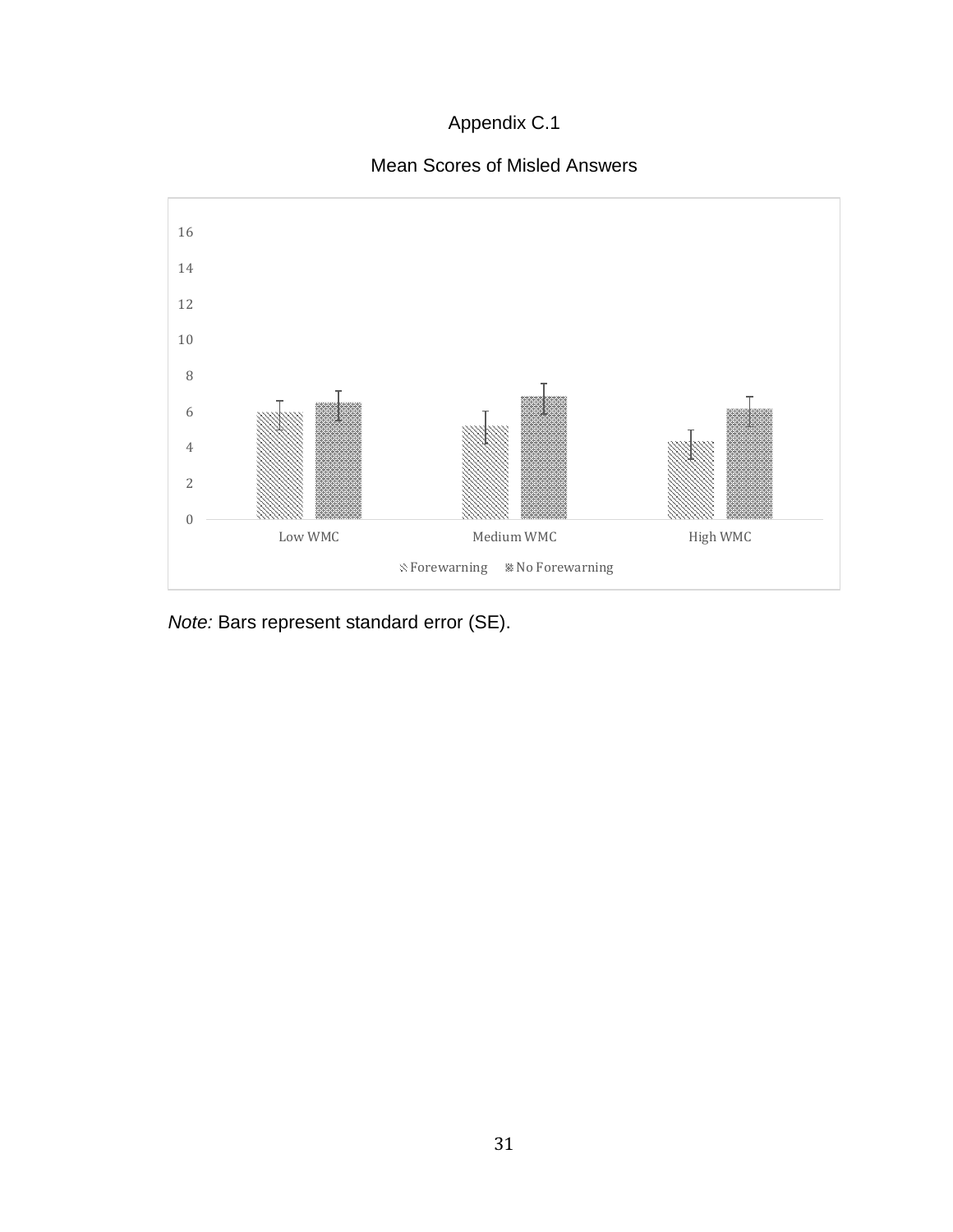## Appendix C.1



<span id="page-37-0"></span>

*Note:* Bars represent standard error (SE).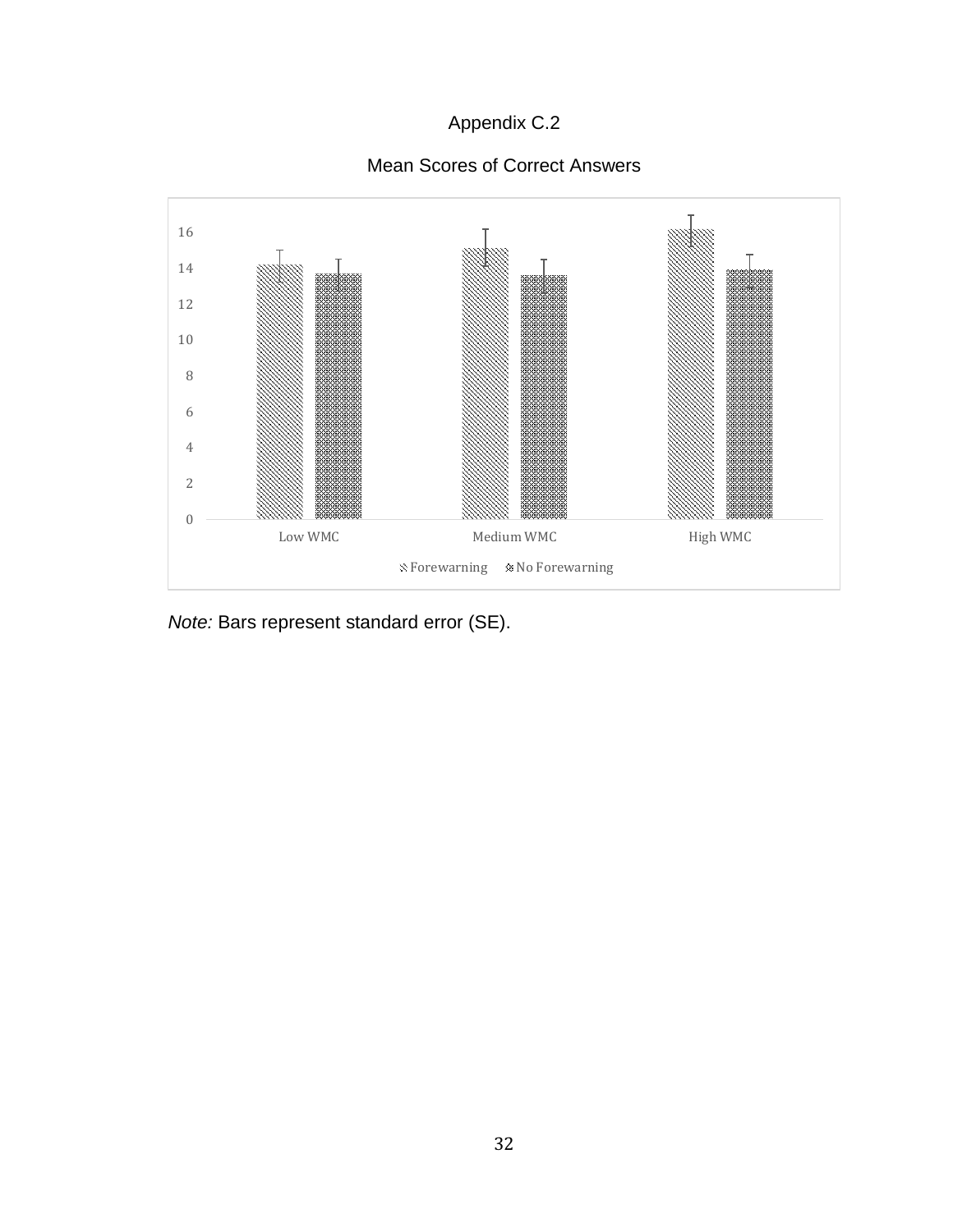## Appendix C.2

## Mean Scores of Correct Answers

<span id="page-38-0"></span>

*Note:* Bars represent standard error (SE).